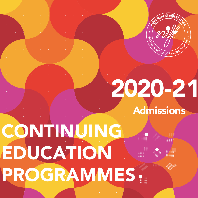

# 2020-21 Admissions

# EDUCATION CONTINUING PROGRAMMES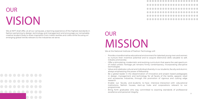# OUR VISION

We at NIFT shall offer, at all our campuses, a learning experience of the highest standards in fashion pertaining to design, technology and management and encourage our remarkably creative student body to draw inspiration from India's textiles and crafts while focusing on emerging global trends relevant to the industries we serve.

# $\overline{\phantom{a}}$  3

# OUR MISSION

We at the National Institute of Fashion Technology will:

- Provide a transformative educational environment for talented young men and women to nurture their inventive potential and to acquire distinctive skills valuable to self, industry and society
- Offer a stimulating, modernistic and evolving curriculum that spans the vast spectrum of India's artistic heritage yet remains firmly contemporary, incorporating disruptive technologies
- Value and celebrate cultural and individual diversity in our students, faculty and alumni, always emphasizing the power of fellowship
- Be a global leader in the dissemination of innovative and project based pedagogies in design, management and technology for all facets of the textile, apparel, retail and accessories industries, through the promotion of rigorous and cutting edge research
- Enable our faculty and students to have intensive interaction with educational institutions, fashion houses, start-up hubs and corporations relevant to our programmes
- Bring forth graduates who stay committed to exacting standards of professional excellence and personal integrity

. . . . . . . . . . . . . . . . . . . . . . . . . . ............... .................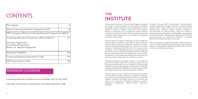# **CONTENTS**

| The Institute                                                                             | 5  |  |  |  |
|-------------------------------------------------------------------------------------------|----|--|--|--|
| <b>About Continuing Education Programmes (CEP)</b>                                        | 19 |  |  |  |
| NIFT Campuses offering Continuing Education Programmes 2020-21                            |    |  |  |  |
| <b>Continuing Education Programmes offered (2020-21)</b>                                  | 21 |  |  |  |
| One Year Programmes<br><b>Six Months Programmes</b><br><b>Below Six Months Programmes</b> |    |  |  |  |
| <b>Admission Guidelines</b>                                                               | 86 |  |  |  |
| <b>Continuing Education Programme Codes</b>                                               | 89 |  |  |  |
| <b>NIFT Study Centre Codes</b>                                                            | 90 |  |  |  |

# ADMISSION CALENDAR

Continuing Education Admission Form Available from 1st July 2020

Last Date of Submission of Admission form 30th September 2020

# **THE INSTITUTE**

Today, National Institute of Fashion Technology has emerged as a leader in fashion education with the ability to integrate knowledge, academic freedom, critical independence, creative thinking. A history of being in existence for three decades stands as a testimony to our fundamentals where academic excellence lies at the core. The institute has stood as a beacon of serious critical engagement, a key enabler in developing competent professionals. Through its journey, NIFT has achieved a strong academic strategy. Invigorating thought leadership, research stimulus, industry focus, creative enterprise and peer learning have reinforced the institute's academic bedrock. Fostering a new generation of creative thinkers, today, the institute is empowered to award Degrees in undergraduate, postgraduate and doctoral studies. Articulating the ideology of world-class learning practices, the institute has entered in to strategic alliances with leading international institutes.

Academic inclusiveness has been a catalyst in the expansion plans of the institute. Today, NIFT has spread wings across the length and breadth of the country. Through its 16 professionally managed campuses, NIFT provides a frame work to ensure that prospective students from different parts of the country achieve their highest potential through the programmes offered.

National Institute of Fashion Technology was set up under the aegis of Ministry of Textiles, Government of India. Bringing in a wide range of aesthetic & intellectual orientations, the early instructors included leading progressive scholars from Fashion Institute of Technology, New York, USA. The in-house faculty was drawn in from a distinguished group of intellectuals who put forth a sense of dynamism creating a pathway to effective learning. Pupul Jaykar Hall at the head quarters in New Delhi is reminiscence of many educational thinkers and visionaries who have been critical to the institute's road map to success. NIFT is committed to academic excellence in fashion education. The vision of the institute embraces challenges and provides the impetus in setting highest academic standards. NIFT continues to strive to be nothing but the best.

Since the early years of its inception, the institute has provided a firm foundation in fashion education in the domain of Design, Management and Technology. Since then, NIFT has scaled high academic standards. The faculty resource of the institute has grown in to a community of leading practitioners, education enthusiasts, entrepreneurs, creative thinkers, researchers &analysts.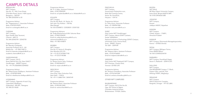# CAMPUS DETAILS

BENGALURU NIFT Campus, Site No. 21, 16th Cross Street 27th Main Road, Sector I HSR Layout, Bengaluru – 560102 Tel: 080-22552550 to 55

Programme Advisor: Mr. Thippeswamy C, Associate Professor Mob:+918792314033 Email id: ce.bengaluru@nift.ac.in

## CHENNAI

NIFT Campus, Rajiv Gandhi Salai Taramani, Chennai - 600113 Tel: 044-22542759 / 22542755

Programme Advisor: Mr. Beeraka Chalapathi, Associate Professor & UI – AA Mobile No. : +91 9841108773 Email id: beeraka.chalapathi@nift.ac.in academic.chennai@n fit.ac.in

GANDHINAGAR NIFT Campus, GH-O, Road, Behind Info City, Near DAIICT Gandhinagar - 382007 Gujarat Tel : +91-79-23265000/23240832

Programme Advisor: Mr. Nilesh Kumar Shidhpura, Assistant Professor Mob: +919978910058 Email id: nileshkumar.shidhpura@nift.ac.in

HYDERABAD NIFT Campus, Opposite Hi-tech City, Cyberabad, Madhapur, Hyderabad - 500 081, Telengana Tel: 040-23110630

Programme Advisor: Mr. K. K. Babu, Assistant Professor Mob: +918737892229 Email id: ce.hyderabad@nift.ac.in, kkbabu@nift.ac.in

## KOLKATA

NIFT Campus Plot No-3B, Block- LA, Sector- III, Salt Lake City Kolkata – 700106, West Bengal Tel: 033-23358872 / 233528351 /23357332

Programme Advisors: Mr. Sudip Bhattacharya & Mr. Sukumar Bose Mob: +919831594034 Email id: sudip.bhattacharya@nift.ac.in, sukumar.bose@nift.ac.in Mob: +91 9831478879

MUMBAI NIFT Campus Plot No.15, Sector-4, Kharghar, Navi Mumbai-410 210 Tel: + 91-22-27747000/7100 Fax: + 91-22-27745386

Programme Advisor: Dr. Ranjan Kumar Saha, Professor Mob: +919833663517 Email id: ranjan.saha@nift.ac.in

NEW DELHI NIFT Campus, Hauz Khas, Near Gulmohar Park, New Delhi - 110016 Tel: +91-11-26867704 / 26542149

Programme Advisor: Ms. Rachna Khatri, Associate Professor Mob: +919910013450 Email id: rachna.khatri@nift.ac.in

PANCHKULA NIFT Campus, Government Polytechnic-cum, Multi Skill Training Centre, Sector 26, Panchkula, Haryana – 134116

Programme Advisor: Dr. Vishu Arora, Associate Professor Mob: +91 9909941584 Email id: vishu.arora@nift.ac.in

## SURAT

(Sub Centre NIFT Gandhinagar) NIFT Campus, Above SVNIT Canteen, Sardar Vallabhbhai National Institute of Technology (SVNIT) Campus, Ichchanath Circle, Dumas Road, Surat - 395007, Gujarat. Tel: 0261 - 2259169

Programme Advisor: Ms. Kalpana Kabra, Assistant Professor Mob: +919374766603 Email id: kalpana.kabra@nift.ac.in

VARANASI (Sub Centre NIFT Raebareli) NIFT Campus, IIHT Premises, Chauka Ghat, Varanasi -221002 (UP)

Programme Advisor: Mr. Amitava Chowdhury, Associate Professor Mob: +919161641004 Email id: amitava.chowdhury@nift.ac.in

## OTHER NIFT CAMPUSES

BHUBANESWAR NIFT Campus, IDCO Plot No-24, Opp. KIIT School of Mgmt. Chandaka Industrial Estate, Bhubaneswar -751024, Odisha

BHOPAL NIFT Block MP Bhoj (Open) University Campus, Kolar Road, Bhopal-462016 (MP) Tel: 0755-2493636/3385

JODHPUR NIFT Campus, Karwar, Jodhpur-342037, Rajasthan

KANGRA NIFT Campus Chheb, Kangra – 176001, Himachal Pradesh

KANNUR NIFT Campus, Dharmasala Managattuparamba, Kannur – 670562 (Kerala)

PATNA NIFT Campus, Mithapur Farms, Patna 800001(Bihar) Tel: 0612-2340032/64/54

RAEBARELI NIFT Campus, Doorbhash Nagar, Sector II, Raebareli – 229010 (UP)

SHILLONG NIFT Campus Old NEIGRIHMS Campus 'C' Block, Pasteur Hills, Lawmali, Polo Shillong-793001, Meghalaya

SRINAGAR NIFT Campus, SIDCO Electronic Complex, Rangreth, Srinagar - 191132 (J&K)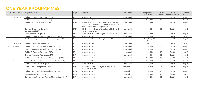# **ONE YEAR PROGRAMMES**

|    |           | S. No.   NIFT Campus   Programme Name                    | Dept.      | Eligibility                                                                                                                           | Days / week | Programme Fee<br>(in Rs) with GST | No. of<br>seats | Date of<br>commencement* | Date of<br>conclusion* |
|----|-----------|----------------------------------------------------------|------------|---------------------------------------------------------------------------------------------------------------------------------------|-------------|-----------------------------------|-----------------|--------------------------|------------------------|
|    | Bengaluru | Fashion & Clothing Technology (FCT)                      | <b>FD</b>  | Minimum 10+2                                                                                                                          | 5 days/week | 97,350                            | 30              | <b>Dec-20</b>            | Dec-21                 |
|    |           | Fashion Integration for Textiles (FIT)                   | TD         | Minimum of 10+2                                                                                                                       | 5 days/week | 1,00,300                          | 30              | <b>Nov-20</b>            | <b>Nov-21</b>          |
|    |           | Fashion Retail Management (FRM)                          | <b>FMS</b> | 10+2+3 (Degree or Diploma) +Experience /10+<br>Diploma with 1-2 years industry experience /10+2<br>with 3-4 years industry experience | 3 days/week | 1,03,840                          | 30              | Sep-20                   | Aug-21                 |
|    |           | <b>Garment Export Merchandising</b><br>Management (GEMM) | <b>FMS</b> | 10+2+ 3 with 0-1 year of experience/10+2 with 3-4<br>years of experience                                                              | 3 days/week | 1,03,840                          | 30              | Sep-20                   | Aug-21                 |
|    |           | Luxury Product Design (LPD)                              | F&LA       | Minimum of 10+2 with 1-2 years of Experience                                                                                          | 3 days/week | 1,03,840                          | 30              | Sep-20                   | Aug-21                 |
|    |           | Fashion Knitwear Production and Technology (FKPT)        | KD         | Minimum of 10+2                                                                                                                       | 5 days/week | 1,20,000                          | 30              | Oct-20                   | Sep-21                 |
| 2. | Chennai   | Footwear Design and Production Technology (FDPT)         | LD         | Minimum of 10+2 or 10 + Diploma Certificate                                                                                           | 5 days/week | 88,500/2,500<br>(USD)             | 30              | Sep-20                   | Aug-21                 |
| 3. | Hyderabad | Fashion Clothing Technology (FCT)                        | FD         | Minimum of 10+2                                                                                                                       | 5 days/week | 88,500                            | 30              | Oct-20                   | Sep-21                 |
| 4. | Kolkata   | Fashion Integration for Apparel Industry (FIAI)          | <b>FD</b>  | Minimum of 10+2                                                                                                                       | 5 days/week | 1,00,300                          | 30              | Sep-20                   | Aug-21                 |
|    |           | Design in Boutique Apparel & Accessory (DBAA)            | LD         | Minimum of $10+2$                                                                                                                     | 5 days/week | 1,00,300                          | 30              | Sep-20                   | Aug-21                 |
|    |           | Fashion & Clothing Technology (FCT)                      | <b>FD</b>  | Minimum of 10+2                                                                                                                       | 5 days/week | 1,00,300                          | 30              | Sep-20                   | Aug-21                 |
|    |           | Clothing Production Technology (CPT)                     | <b>DFT</b> | Minimum of 10+2                                                                                                                       | 5 days/week | 1,00,300                          | 35              | Sep-20                   | Aug-21                 |
|    |           | Fashion Knitwear Production and Technology (FKPT)        | KD         | Minimum of 10+2                                                                                                                       | 5 days/week | 1,00,300                          | 35              | Sep-20                   | Aug-21                 |
| 5. | Mumbai    | Design Development for Indian Ethnic Wear (DDIEW)        | KD         | Minimum of 10+2                                                                                                                       | 4 days/week | 1,18,000                          | 20              | Sep-20                   | Aug-21                 |
|    |           | Fashion Clothing Technology (FCT)                        | FD         | Minimum of $10+2$                                                                                                                     | 5 days/week | 1,18,000                          | 30              | Sep-20                   | Aug-21                 |
|    |           | Fashion Retail Management (FRM)                          | <b>FMS</b> | 10+2 with Diploma + 1-2 year of experience /<br>$10+2+3$ (Graduate)                                                                   | Weekends    | 1,29,800                          | 25              | Sep-20                   | Aug-21                 |
|    |           | Fashion Graphics & Product Modeling (FGPM)               | F&LA       | Minimum of 10+2                                                                                                                       | Weekends    | 1,18,000                          | 20              | Sep-20                   | Aug-21                 |
|    |           | Luxury Product Design (LPD)                              | F&LA       | Minimum of 10+2                                                                                                                       | Weekends    | 1,18,000                          | 20              | Sep-20                   | Aug-21                 |
|    |           | Garment Manufacturing & Fashion Merchandising (GMFM)     | <b>DFT</b> | Minimum of 10+2                                                                                                                       | 3 days/week | 1,06,200                          | 30              | Sep-20                   | Aug-21                 |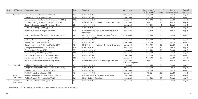| S. No. |                          | NIFT Campus   Programme Name                      | Dept.         | Eligibility                                                         | Days / week                         | Programme Fee<br>(in Rs) with GST | No. of<br>seats | Date of<br>commencement <sup>3</sup> | Date of<br>conclusion* |
|--------|--------------------------|---------------------------------------------------|---------------|---------------------------------------------------------------------|-------------------------------------|-----------------------------------|-----------------|--------------------------------------|------------------------|
| 6.     | New Delhi                | Graphic Design and Communication (GDC)            | FC            | Minimum of 10+2                                                     | 5 days/week                         | 1,20,000                          | 30              | $Sep-20$                             | Aug-21                 |
|        |                          | Fashion Retail Management (FRM)                   | <b>FMS</b>    | Minimum of 10+2                                                     | 3 days/week                         | 1,00,000                          | 30              | $Sep-20$                             | Aug-21                 |
|        |                          | Garment Export Merchandising Management (GEMM)    | <b>FMS</b>    | Minimum of 10+2                                                     | 3 days/week                         | 1,20,000                          | 30              | $Sep-20$                             | Aug-21                 |
|        |                          | Creative Thinking & Design Development (CTDD)     | LD            | 10+2/10+2 with or without 1-2 years of Experience                   | 4 days/week                         | 94,400                            | 40              | $Sep-20$                             | Aug-21                 |
|        |                          | Design in Boutique Apparel & Accessory (DBAA)     | LD            | Minimum of 10+2                                                     | 5 days/week                         | 1,18,000                          | 40              | $Sep-20$                             | Aug-21                 |
|        |                          | Fashion & Clothing Technology (FCT)               | FD            | Minimum of 10+2                                                     | 5 days/week                         | 1,40,000                          | 40              | $Sep-20$                             | Aug-21                 |
|        |                          | Fashion E- Business Management (FEBM)             | <b>FMS</b>    | 10+2+3 (diploma/graduation) preferably with IT<br>knowledge         | 3 days/week                         | 1,41,600                          | 30              | $Sep-20$                             | Aug-21                 |
|        |                          | Design Development for Indian Ethnic Wear (DDIEW) | <b>KD</b>     | 10+2/10+2 with or without 1-2 years of experi-<br>ence/10+2 diploma | 3 days/week                         | 1,23,900                          | 30              | $Sep-20$                             | Aug-21                 |
|        |                          | Clothing Production Technology (CPT)              | <b>DFT</b>    | Minimum of 10+2                                                     | 5 days/week                         | 1,06,200                          | 40              | $Sep-20$                             | Aug-21                 |
|        |                          | Interior Design & Exhibition (IDE)                | TD            | Minimum of 10+2                                                     | 3 days/week                         | 1,40,000                          | 30              | $Sep-20$                             | Aug-21                 |
|        |                          | Design Innovation in Fashion and Textile (DIFT)   | TD            | 10+2/10+2 with or without 1-2 years of Experience                   | 4 days/week                         | 1,23,900                          | 30              | $Sep-20$                             | Aug-21                 |
|        |                          | Management of Fashion Business (MFB)              | <b>FMS</b>    | Minimum of 10+2                                                     | 2 days/week                         | 1,20,000                          | 40              | $Sep-20$                             | Aug-21                 |
|        |                          | Creative Textile Design (CTD)                     | TD            | Minimum of 10+2                                                     | 4 days/week                         | 1,30,000                          | 35              | $Sep-20$                             | Aug-21                 |
|        |                          | Product Styling & Set Design (PSSD)               | F&LA          | Minimum of 10+2                                                     | 5 days/week                         | 1,47,500                          | 30              | $Sep-20$                             | Aug-21                 |
|        |                          | Designing & Styling for Indian Fashion (DSIF)     | FD            | Minimum of 10+2                                                     | 5 days/week                         | 1,41,600                          | 40              | $Sep-20$                             | Aug-21                 |
|        |                          | Handicraft Design & Entrepreneurship (HDE)        | F&LA          | Minimum of 10+2                                                     | 5 days/week                         | 1,47,500                          | 30              | Sep-20                               | Aug-21                 |
|        |                          | Visual Merchandising & Product Styling (VMPS)     | $\mathsf{FC}$ | 10+2 or above with interest in design & fashion                     | 3 days/week<br>[9 Months Programme] | 88,500                            | 30              | $Sep-20$                             | June-21                |
| 7.     | Panchkula                | Fashion & Clothing Technology (FCT)               | FD            | Minimum of 10+2                                                     | 5 days/week                         | 1,18,000                          | 30              | $Sep-20$                             | Aug-21                 |
|        |                          | Design Development for Indian Ethnic Wear (DDIEW) | KD            | Minimum of 10+2                                                     | 5 days/week                         | 1,18,000                          | 30              | Sep-20                               | Aug-21                 |
|        |                          | Fashion & Media Communication (FMC)               | FC            | Minimum of 10+2                                                     | 5 days/week                         | 1,06,200                          | 30              | $Sep-20$                             | Aug-21                 |
|        |                          | Textile for Interiors & Fashion (TIF)             | TD            | Minimum of 10+2                                                     | 5 days/week                         | 94,400                            | 30              | $Sep-20$                             | Aug-21                 |
| 8.     | Surat                    | Fashion Designing & Apparel Technology (FDAT)     | <b>FD</b>     | 10th pass + Industry Experience /Diploma                            | 5 days/week                         | 88,500                            | 25              | $Sep-20$                             | Aug-21                 |
|        | (Sub Centre)             | Fashion & Media Communication (FMC)               | $\mathsf{FC}$ | 10+2 + Industry Experience                                          | 5 days/week                         | 1,00,300                          | 20              | Sep-20                               | Aug-21                 |
| 9.     | Varanasi<br>(Sub Centre) | Fashion & Clothing Technology (FCT)               | <b>FD</b>     | Minimum of 10+2                                                     | 5 days/week                         | 65,000                            | 30              | $Sep-20$                             | Aug-21                 |

\* Dates may subject to change ,depending on the situation due to COVID-19 Pandemic.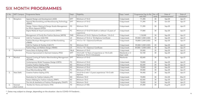# **SIX MONTH PROGRAMMES**

| S. No.         | <b>NIFT Campus</b>       | Programme Name                                                                 | Dept.         | Eligibility                                                                    | Days / week                 | Programme Fee (in Rs)<br>with GST | No. of<br>seats | Date of<br>commencement* | Date of<br>conclusion* |
|----------------|--------------------------|--------------------------------------------------------------------------------|---------------|--------------------------------------------------------------------------------|-----------------------------|-----------------------------------|-----------------|--------------------------|------------------------|
|                | Bengaluru                | Apparel Design and Development (ADD)                                           | <b>DFT</b>    | Minimum of 10+2                                                                | 5 days/week                 | 71,390                            | 30              | Sep-20                   | Apr-21                 |
|                |                          | Apparel Merchandising and Manufacturing Technology<br>(AMMT)                   | <b>DFT</b>    | Minimum of 10+2                                                                | 5 days/week                 | 71,390                            | 30              | Oct-20                   | Apr-21                 |
|                |                          | Design, Pattern Making & Design Studio Management<br>for Ethnic Apparel (DPDS) | <b>FD</b>     | Minimum 10+2                                                                   | 5 days/week                 | 71,390                            | 30              | Sep-20                   | Apr-21                 |
|                |                          | Digital Media & Visual Communication (DMVC)                                    | $\mathsf{FC}$ | Minimum of 10+2/10+2with or without 1-2 years of<br>experience                 | 3 days/week                 | 77,800                            | 30              | Sep-20                   | Apr-21                 |
|                |                          | Management of Family Run Fashion Business (MFFB)                               | <b>FMS</b>    | Minimum of 10+2+ Diploma Certificate / 10+2+3                                  | 5 days/week                 | 1,18,000                          | 30              | Sep-20                   | Apr-21                 |
| 2.             | Chennai                  | CAD for Footwear (CAD-FW)                                                      | LD            | Minimum of 10+2 or 10+Diploma Certificate                                      | 5 days/week                 | 59,000/2,000 (USD)                | 30              | Sep-20                   | Apr-21                 |
|                |                          | Fashion Boutique Management and Merchandising<br>(FBMM)                        | LD            | 10+2 or 10 + Diploma/Certificate                                               | 5 days/week                 | 70,800/2,500 (USD)                | 30              | Sep-20                   | Apr-21                 |
|                |                          | CAD for Fashion & Textiles (CAD-FT)                                            | TD            | Minimum 10+2                                                                   | 5 days/week                 | 59,000/2,000 (USD)                | 20              | Sep-20                   | Apr-21                 |
|                |                          | Fashion Bags and Wallets Design (FBWD)                                         | LD            | 10+2 or 10 + Diploma/ Certificate                                              | 5 days/week                 | 59,000 / 2,000 (USD)              | 30              | Sep-20                   | Apr-21                 |
| 3.             | Hyderabad                | Home Décor & Styling (HDS)                                                     | F&LA          | Minimum of 10+2                                                                | 5 days/week                 | 59,000                            | 35              | Sep-20                   | Apr-21                 |
|                |                          | Process Improvement in Garment Industry (PIGI)                                 | <b>DFT</b>    | 10+2 with 1-2 Years of experience or 10+2 with<br>Diploma or 10+2+3 (Graduate) | Weekends or 3<br>days/ week | 53,100                            | 30              | Sep-20                   | Apr-21                 |
| $\overline{4}$ | Mumbai                   | Apparel Costing & Fashion Merchandising Management   DFT<br>(ACFMM)            |               | Minimum of 10+2                                                                | Weekends                    | 82,600                            | 30              | Sep-20                   | Apr-21                 |
|                |                          | Contemporary Bridal Trousseau Design (CBTD)                                    | <b>FD</b>     | Minimum of 10+2                                                                | 3 days/week                 | 70,800                            | 20              | Sep-20                   | Apr-21                 |
|                |                          | <b>Creative Fashion Styling (CFS)</b>                                          | KD            | Minimum of 10+2                                                                | 3 days/week                 | 82,600                            | 25              | Sep-20                   | Apr-21                 |
|                |                          | Creative Pattern Making (CPM)                                                  | KD            | Minimum of 10+2                                                                | 2 days/week                 | 70,800                            | 20              | Sep-20                   | Apr-21                 |
|                |                          | Visual Merchandising (VM)                                                      | $\mathsf{FC}$ | Minimum of 10+2                                                                | 2 days/week                 | 59,000                            | 30              | Sep-20                   | Apr-21                 |
| -5.            | New Delhi                | <b>Creative Fashion Styling (CFS)</b>                                          | KD            | 10+2/10+2 with 1-2 years experience/ 10+2 with<br>diploma                      | 3 days/week                 | 94,400                            | 30              | $Sep-20$                 | Apr-21                 |
|                |                          | Illustration for Fashion Industry (IFI)                                        | KD            | Minimum 10+2                                                                   | 3 days/week                 | 70,800                            | 30              | Oct-20                   | Mar-21                 |
|                |                          | Pattern Making for Fashion Industry (PMFI)                                     | KD            | Minimum 10+2                                                                   | 3 days/week                 | 82,600                            | 30              | Sep-20                   | Apr-21                 |
|                |                          | The Arts & Aesthetics of Fashion Photography (TAAFP)                           | FC            | Minimum 10+2                                                                   | 3 days/week                 | 70,800                            | 30              | Sep-20                   | Apr-21                 |
| 6.             | Varanasi<br>(Sub Centre) | Textiles for Home and Interior (THI)                                           | TD            | Minimum of 10th                                                                | 3 days/week                 | 47,200                            | 30              | Aug-20                   | $Jan-21$               |

\* Dates may subject to change ,depending on the situation due to COVID-19 Pandemic .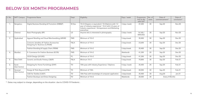# **BELOW SIX MONTH PROGRAMMES**

| S. No. | <b>NIFT Campus</b>       | Programme Name                                                             | Dept.      | Eligibility                                                                                                                                                             | Days / week  | Programme<br>Fee (in Rs)<br>with GST | No. of<br>seats | Date of<br>commencement* | Date of<br>conclusion* |
|--------|--------------------------|----------------------------------------------------------------------------|------------|-------------------------------------------------------------------------------------------------------------------------------------------------------------------------|--------------|--------------------------------------|-----------------|--------------------------|------------------------|
|        | Bengaluru                | Digital Business Branding & Promotion (DBB&P)                              | M Des.     | 10+2+Degree or equivalent/ 10+Diploma with 1-2<br>year of industry experience/ 10+2 with 3-4 years of<br>industry experience/ Entrepreneurs and Marketing<br>executives | 3 days /week | 47,200                               | 30              | Sep-20                   | <b>Nov-20</b>          |
| 2.     | Chennai                  | <b>Basic Photography (BP)</b>                                              | LD         | Anyone who is interested in photography                                                                                                                                 | 2 days /week | 14,160/<br>500(USD)                  | 30              | Sep-20                   | <b>Nov-20</b>          |
| 3.     | Hyderabad                | Apparel Retailing and Visual Merchandising (ARVM)                          | <b>FMS</b> | Minimum of 10+2                                                                                                                                                         | 5 days/week  | 35,400                               | 30              | Sep-20                   | <b>Dec-20</b>          |
|        |                          | Costume Jewellery & Fashion Accessories<br>Designing for Business (CJFADB) | F&LA       | Minimum of 10+2                                                                                                                                                         | 2 days/week  | 23,600                               | 30              | Sep-20                   | <b>Dec-20</b>          |
|        |                          | Fashion Branding & Supply Chain (FBSM)                                     | <b>FMS</b> | Minimum of 10+2                                                                                                                                                         | 5 days/week  | 35,400                               | 30              | Sep-20                   | <b>Dec-20</b>          |
|        | Mumbai                   | E- Commerce for Fashion Business (ECFB)                                    | <b>FMS</b> | Minimum of 10+2                                                                                                                                                         | Weekends     | 41,300                               | 20              | Sep-20                   | <b>Dec-20</b>          |
|        |                          | UI/UX Design (UI/UXD)                                                      | FC         | Minimum of 10+2                                                                                                                                                         | 2 days/week  | 41,300                               | 30              | Sep-20                   | <b>Dec-20</b>          |
| 5.     | New Delhi                | Ceramic and Studio Pottery (C&SP)                                          | F&LA       | Minimum 10+2                                                                                                                                                            | 5 days/week  | 70,800                               | 30              | Sep-20                   | Feb-21                 |
| 6.     | Surat<br>(Sub Centre)    | Designing for Home Furnishings (DHF)                                       | <b>TD</b>  | 10th pass with Industry Experience / Diploma                                                                                                                            | 4 days /week | 35,400                               | 25              | Sep-20                   | Feb-21                 |
| 7.     | Varanasi<br>(Sub Centre) | Design & Think Beyond (DTB)                                                | <b>TD</b>  | Minimum of 10th                                                                                                                                                         | 3 days/week  | 40,000                               | 30              | Sep-20                   | Feb-21                 |
|        |                          | <b>CAD</b> for Textiles (CADT)                                             | TD         | 10th Pass with knowledge of computer application                                                                                                                        | 3 days/week  | 35,400                               | 30              | Aug-20                   | $Jan-21$               |
|        |                          | Fashion Boutique and Dress Designing                                       | <b>FD</b>  | Minimum of 10+2                                                                                                                                                         | Weekends     | 20,000                               | 30              | Every 4 Months           |                        |

\* Dates may subject to change ,depending on the situation due to COVID-19 Pandemic .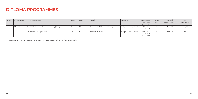# **DIPLOMA PROGRAMMES**

| S. No. |         | NIFT Campus   Programme Name             | Dept.           | Level | Eligibility                     | Days / week            | Programme<br>Fee (in Rs)<br>with GST | No. of<br>seats | Date of<br>commencement* | Date of<br>conclusion* |
|--------|---------|------------------------------------------|-----------------|-------|---------------------------------|------------------------|--------------------------------------|-----------------|--------------------------|------------------------|
|        | Chennai | Apparel Production & Merchandising (APM) | DF <sub>1</sub> | PG    | Minimum of 10+2 with any Degree | 5 days / week (1 Year) | 2,06,500 /<br>5833(USD)              | 30              | $Sep-20$                 | Aug-21                 |
|        |         | <b>Fashion Fit and Style (FFS)</b>       | ' FD            | ∣∪G   | $\blacksquare$ Minimum of 10+2  | 5 days / week (2 Year) | 2,06,500 /<br>5833(USD)<br>per annum | 30              | $Sep-20$                 | Aug-22                 |

\* Dates may subject to change ,depending on the situation due to COVID-19 Pandemic .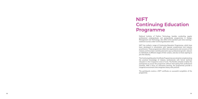# **NIFT**

# **Continuing Education Programme**

National Institute of Fashion Technology, besides conducting regular professional undergraduate and postgraduate programmes in Design, Management and Technology, also offers short duration part time evening / weekend courses under Continuing Education (CE).

NIFT has crafted a range of Continuing Education Programmes, which have been developed in consultation with reputed academicians and industry practitioners. These programmes reflect the requirements and concerns of the industry and have been carefully planned to spur professional growth, relevant to individuals at different stages of their careers, and also to those aspiring to

join the industry.

The Continuing Education Certificate Programmes are aimed at complementing the practical knowledge of industry professionals with formal technical education in the irrespective areas of work. The flexible schedule enables the participants to pursue the programme without interrupting their professional activities. With a focus on interactive learning, the programmes provide a congenial environment that integrates theory with practice.

The participants receive a NIFT certificate on successful completion of the

programme.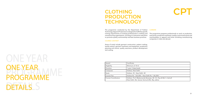# PROGRAMME DETAILS S ONE YEAR PROGRAMME

| <b>Award</b>        | Certificate                                                          |
|---------------------|----------------------------------------------------------------------|
| Eligibility         | Minimum of 10+2                                                      |
| Duration            | 1 year, 5 days/week                                                  |
| Campuses            | Kolkata, New Delhi                                                   |
| Seats               | Kolkata -35, New Delhi- 40                                           |
| Course Fee          | Kolkata Rs. 1,00,300/-, New Delhi I                                  |
| Course Coordinators | Kolkata- Prof. Bibekananda Banerje<br>New Delhi- Ms. Suman Verma & M |

# **CLOTHING PRODUCTION TECHNOLOGY**



Rs. 1,06,200/-

ee, Mr. S.S. Ray & Md. S. Ashrafi ls. Riju Jakhar

### COURSE CONTENT

The programme conducted by the Department of Fashion Technology (Apparel Production) is designed to fulfill the specific training requirements of working professionals in clothing and manufacturing organizations, focusing on interactive education to promote quality workmanship and best business practices. **CAREERS** The programme prepares professionals to work as production executives, production assistants, quality control executives and merchandisers in apparel and home furnishing manufacturing companies in India and abroad.

Areas of study include garment construction, pattern making, textile science, garment machinery and equipment, production planning and control, quality assurance, product development and costing.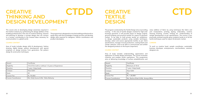| Award                      | Certificate                                       |  |
|----------------------------|---------------------------------------------------|--|
| Eligibility                | 10+2/10+2 with or without 1-2 years of Experience |  |
| Duration                   | 1 year, 4 days/week                               |  |
| Campus                     | New Delhi                                         |  |
| <b>Seats</b>               | 40                                                |  |
| <b>Course Fee</b>          | Rs. 94,400/-                                      |  |
| <b>Course Coordinators</b> | Ms. Dolly Kumar & Ms. Tulika Mahanty              |  |

# **CREATIVE THINKING AND DESIGN DEVELOPMENT CTDD**

The course aims at developing design awareness required in the Fashion Industry by synthesizing the design abilities of the budding professionals in the area of creative thinking, research and planning to develop a concept design that can connect to a society, contributing to the renewal ideas necessary for communication in a global world.

## COURSE CONTENT

Area of study includes design skills & development, fashion drawing, digital design, pattern development with special emphasis on design process from generation, flat pattern design & construction techniques.

## CAREERS

The programme is designed to train the budding professionals to equip them with the knowledge of design process and develop design skills required for designers, fashion coordinators and product developers.

| Award                      | Certificate                          |
|----------------------------|--------------------------------------|
| Eligibility                | Minimum of $10+2$                    |
| Duration                   | 1 year, 4 days/week                  |
| Campus                     | New Delhi                            |
| Seats                      | 35                                   |
| Course Fee                 | Rs. 1,30,000/-                       |
| <b>Course Coordinators</b> | Ms. Rachna Khatri & Ms. Ananya Mitra |

# **CREATIVE TEXTILE DESIGN**

# **CTD**

### COURSE CONTENT

The program conducted by the Textile Design aims at providing training in the area of textile designs created for high end/ boutique garments. It will provide inputs on design original, ground breaking and practical textiles for export & domestic market. To be able to hold private textile art exhibitions, to design sustainable products using suitable techniques, develop, select and source appropriate textiles as per client specifications, manage in house production, costing sheets and vendor selection. And to be able to communicate and exhibit the designed products to the buyers (exporters). value addition of fabric by using techniques like fabric and yam manipulation, printing, dyeing, embroidery, creative weaving knotting, crochet, knitting etc. Understanding of sample development as per specifications. The course is very practically oriented towards given students hands on of all the tactile techniques used for export & domestic market. **CAREERS** To work as creative head, sample coordinator, sustainable

Area of study includes understanding, appreciation and application of textile design techniques. The course inculcates creativity and enables tactile expressions. This programme aims at delivering knowledge of surface embellishments and

business developer, enterpreneurs, merchandisers, assistant designers etc.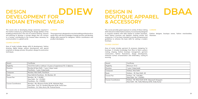| Award               | Certificate                                                                                                                                                |  |  |  |  |
|---------------------|------------------------------------------------------------------------------------------------------------------------------------------------------------|--|--|--|--|
| Eligibility         | 10+2/10+2 with or without 1-2 years of experience/10+ 2 diploma                                                                                            |  |  |  |  |
| Duration            | Mumbai & New Delhi - 1 year, 4 days/ week<br>Panchkula - 1 year, 5 days/week                                                                               |  |  |  |  |
| Campuses            | Mumbai, New Delhi, Panchkula                                                                                                                               |  |  |  |  |
| <b>Seats</b>        | New Delhi & Panchkula - 30, Mumbai -20                                                                                                                     |  |  |  |  |
| Course Fee          | Mumbai - Rs. 1,18,000/-<br>New Delhi - Rs. 1,23,900/-<br>Panchkula - Rs. 1,18,000/-                                                                        |  |  |  |  |
| Course Coordinators | Mumbai - Ms. Bhawana Dubey & Mr. Abhishek Bajaj<br>New Delhi - Prof. Dr. Vandana Bhandari & Ms. Smita Som<br>Panchkula – Dr. Vishu Arora, Mr. Pramod Kumar |  |  |  |  |

Area of study includes design skills & development, fashion drawing, digital design, pattern development with special emphasis on design process, flat pattern design & construction techniques.

# **DESIGN DEVELOPMENT FOR INDIAN ETHNIC WEAR DDIEW**

The course aims at developing design awareness required in the Fashion Industry by synthesizing the design abilities of the budding professionals in the area of creative thinking, research and planning to develop a concept design that can connect to a society, contributing to the renewal ideas necessary for communication in a global world.

## COURSE CONTENT

### CAREERS

The programme is designed to train the budding professionals to equip them with the knowledge of design process and develop design skills required for designers, fashion coordinators and product developers.

| Award                      | Certificate                                                             |
|----------------------------|-------------------------------------------------------------------------|
| Eligibility                | Minimum 10+2                                                            |
| Duration                   | 1 year, 5 days/week                                                     |
| Campuses                   | Kolkata, New Delhi                                                      |
| Seats                      | Kolkata - 30, New Delhi - 40                                            |
| Course Fee                 | Kolkata – Rs. 1,00,300/-,<br>New Delhi - Rs. 1,18,000/-                 |
| <b>Course Coordinators</b> | Kolkata - Mr. Rahul Sethi & Mr. Sal<br>New Delhi - Ms. Tulika Mahanty & |

# **DESIGN IN BOUTIQUE APPAREL & ACCESSORY**



## **CAREERS**

byasachi Sengupta Ms. Dolly Kumar

The course provides great exposure to variety of dress making skills relevant to Indian fashion industry. It is exclusively designed to acquaint students with skills related to modern boutique, latest fashion practices and idealistic clothing articles and accessories. It is has been intended to provide entrepreneurial guidelines to enhance the basic skills for setting a modern boutique.. Fashion designer, boutique owner, fashion merchandiser, illustrator.

### COURSE CONTENT

Area of study includes garment & accessory designing for boutique. It includes knowledge from fibre to fabric, pattern making, draping, fashion boutique management, garment construction, fashion illustrations, design development, extensive surface ornamentation and embroidery, costing & sourcing.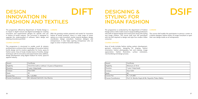| Award                      | Certificate                                       |
|----------------------------|---------------------------------------------------|
| Eligibility                | 10+2/10+2 with or without 1-2 years of Experience |
| Duration                   | 1 year, 4 days/week                               |
| Campus                     | New Delhi                                         |
| <b>Seats</b>               | 30                                                |
| <b>Course Fee</b>          | Rs. 1,23,900/-                                    |
| <b>Course Coordinators</b> | Mr. Ashutosh Sahi & Dr. Anu Sharma                |

# **DESIGN INNOVATION IN FASHION AND TEXTILES DIFT**

The programme offered by Department of Textile Design is to impart in depth manual and digital knowledge for creating innovative and experimental designs for specific end use in fashion & textile industry. The curriculum is designed to upgrade the understanding of software, fabric design and creating innovative portfolio.

## COURSE CONTENT

The programme is structured to enable youth & industry professionals to enhance their knowledge of innovative fashion textile design and its creative application for home, space & fashion sector. Area of study includes basics of textiles, design techniques with its innovative and experimental value addition, design development using digital medium for home, space & apparel industry.

### CAREERS

With the growing market potential and trends for innovative fashion & textile products, there is a wide range of career options as a style consultant, textile material designer, design coordinator, design consultant, freelance designer and entrepreneurs. It also helps aspiring entrepreneur who are eager to enter in fashion & textile industry.

| Award               | Certificate                       |
|---------------------|-----------------------------------|
| Eligibility         | Minimum of 10+2                   |
| Duration            | 1 year, 5 days/week               |
| Campus              | New Delhi                         |
| Seats               | 40                                |
| Course Fee          | Rs. 1,41,600/-                    |
| Course Coordinators | Prof. Dr. Monika Gupta & Ms. Naya |
|                     |                                   |

# **DESIGNING & STYLING FOR INDIAN FASHION**

# **DSIF**

anika Thakur Mehta

## COURSE CONTENT

The programme is conducted by the department of Fashion Design and is a tailor made course is equip budding professions with skills of apparel design and construction along with styling and image creation. The course shall train the participant with the skill required to design and style fora modern Indian consumer. **CAREERS** The course shall enable the participants to persue a career as a fashion designer, fashion stylist, an image consultant or open their own design studio as an entrepreneur.

Area of study includes fashion styling, pattern development, garment construction, designing for draping, fashion orientation, fashion photography, hair and makeup, image appreciation, fashion illustration, surface orientation, merchandising and design process.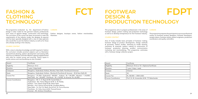| Award               | Certificate                                                                                                                                                                                                                                                                                                                                                           |
|---------------------|-----------------------------------------------------------------------------------------------------------------------------------------------------------------------------------------------------------------------------------------------------------------------------------------------------------------------------------------------------------------------|
| Eligibility         | Minimum $10+2$                                                                                                                                                                                                                                                                                                                                                        |
| Duration            | 1 year, 5 days/week                                                                                                                                                                                                                                                                                                                                                   |
| Campuses            | Bengaluru, Hyderabad, Kolkata, Mumbai, New Delhi, Panchkula & Varanasi                                                                                                                                                                                                                                                                                                |
| <b>Seats</b>        | Bengaluru, Hyderabad, Kolkata, Mumbai & Panchkula & Varanasi - 30 & New Delhi-40                                                                                                                                                                                                                                                                                      |
| Course Fee          | Bengaluru – 97,350/- Hyderabad – 88,500/-, Kolkata - Rs. 1,00,300/-, Mumbai – 1,18,000/,<br>New Delhi - Rs. 1,40,000/-, Panchkula - Rs 1,18,000/- & Varanasi- Rs. 65,000/-                                                                                                                                                                                            |
| Course Coordinators | Bengaluru – Mr. C. A. Rayan & Mr. Suresh Babu V.<br>Hyderabad - Ms. Fatima Bilgrami & Mr. G. M. Reddy<br>Kolkata - Prof. Reenit Singh & Mr. Rahul Sethi<br>Mumbai - Prof. Patricia Sumod & Ms. Kundlata Mishra<br>New Delhi - Sr. Prof. Dr. Banhi Jha & Prof. Dr. Purva Khurana<br>Panchkula - Dr. Vishu Arora & Mr. Pramod Kumar<br>Varanasi – Mr. Amitava Chowdhury |

# **FASHION & CLOTHING TECHNOLOGY**

**FCT**

The programme conducted by the department of Fashion Design is tailor made for the garment industry professionals The curriculum of the course has been structured to meet the requirements of the industry (under the designer & exports) and has been specially designed with a view to help aspirants who would like to join the fashion industry as well as for those who already working in the industry.

## COURSE CONTENT

form areas of apparel design, construction and technology. Fashion designer, boutique owner, fashion merchandiser, illustrator.

With a view to develop knowledge and skill required in fashion the curriculum includes practical subjects such as illustration and technical drawing, pattern development and sewing skills with focus on Western and Indo-Western apparel supplemented with visits for market survey and sourcing. Theory inputs in textile science and merchandising are also included.

## CAREERS

| Award                      | Certificate                                 |
|----------------------------|---------------------------------------------|
| Eligibility                | Minimum 10+2 or 10 + Diploma/Certificate    |
| Duration                   | 1 year, 5 days / week                       |
| Campus                     | Chennai                                     |
| Seats                      | 30                                          |
| Course Fee                 | Rs. 88,500/- / 2500 (USD)                   |
| <b>Course Coordinators</b> | Prof. Dr. M. Aravendan & Mr. T.P. Balachand |

# **CAREERS**

# **FOOTWEAR DESIGN & PRODUCTION TECHNOLOGY FDPT**

This programme aims to prepare professionals in the areas of footwear design, pattern making and production technology as well as to develop entrepreneurs for the Footwear Industry.

## COURSE CONTENT

Area of study includes basic principles of footwear making, footwear design & product development. Design methods & processes, fashion studies, sketching & model drawing, machinery & materials, pattern making & construction of footwear, production planning, product communication marketing and merchandising. This programme culminates with a footwear design collection project.

.

The programme prepares the participants to pursue professional careers as footwear product designers, footwear developers, sample makers, footwear stylists, pattern engineers, production coordinators and quality controllers.

Balachandar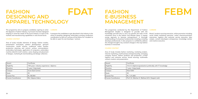| Award                      | Certificate                              |
|----------------------------|------------------------------------------|
| Eligibility                | 10th pass+ industry experience / diploma |
| Duration                   | 1 year, 5 day/week                       |
| Campus                     | Surat (Sub Centre)                       |
| <b>Seats</b>               | 25                                       |
| Course Fee                 | Rs. 88,500/-                             |
| <b>Course Coordinators</b> | Ms. Kalpana Kabra                        |

# **FASHION DESIGNING AND APPAREL TECHNOLOGY FDAT**

The programme aims to prepare candidates aspiring to enter the Apparel or Fashion Industry. Curriculum has been designed keeping in mind the needs of the Surat Industry as well as the markets and manufacturing capabilities in and around Surat.

## COURSE CONTENT

Area of study includes elements of design, fashion studies, presentation techniques, pattern development, garment construction, textile science, traditional Indian textiles, production planning and control, surface commendation, embroidery techniques, application of computers, embroidery machine detail & motif creation, saree draping and placement of designs, marketing & merchandising and design collection.

### CAREERS

It prepares the candidates to get absorbed in the industry in the areas of sampling, designing, embroidery, printing, production coordination as well as it success all the basics for a student to be able to open his own boutique / venture.

| <b>Award</b>        | Certificate                        |
|---------------------|------------------------------------|
| Eligibility         | 10+2+3 (diploma/graduation) pref   |
| Duration            | 1 year, 3 days/week                |
| Campus              | New Delhi                          |
| l Seats             | 30                                 |
| Course Fee          | Rs. 1,41,600/-                     |
| Course Coordinators | Prof. Dr. Sibichan K. Mathew & Dr. |

# **FASHION E-BUSINESS MANAGEMENT**

# **FEBM**

erably with IT knowledge

Deepak Joshi

### COURSE CONTENT

The programme conducted by the Department of Fashion Management Studies is designed to provide with the knowledge and skill sets to carry out specific job tasks of the e-business firms in the fashion and lifestyle space. It equips young aspirants to become entrepreneurs. It thorough understanding of e-business fundamentals including e-retailing develops professionals. It also prepares to confidently address the changes brought in by constant changes in the way fashion business is transacted. **CAREERS** Brand / product sourcing executive, online promotion including social media marketing executive, online chacommunication executives, logistics and customer service executive, data analyst, content developers entrepreneur, knowledge worker and creative executive.

Area of study includes fashion marketing, marketing analytic, internet marketing, small business entrepreneurship, emerging company finance, fashion products and production, e-retail logistics and customer service, brand sourcing, multimedia content creation and presentation.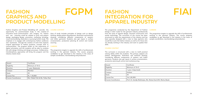| Award                      | Certificate                          |
|----------------------------|--------------------------------------|
| Eligibility                | Minimum of $10+2$                    |
| Duration                   | 1 year, Weekends                     |
| Campus                     | Mumbai                               |
| <b>Seats</b>               | 20                                   |
| <b>Course Fee</b>          | Rs. 1,18,000/-                       |
| <b>Course Coordinators</b> | Ms. Pallabi Palit & Ms. Pallavi Rani |

# **FASHION GRAPHICS AND PRODUCT MODELLING FGPM**

Fashion Graphics and Product Modelling will provide the opportunity for practice-based study in the creation of innovative visual communication and imagery for fashion end use. Learning could be related to print and pattern design, packaging design, promotion, marketing, branding, visual merchandising, illustration or pursuing further study. The emphasis is to engage with contemporary fashion audiences and businesses through the creation of work that explores original approaches to fashion products, concept and/ or communication. The program builds on the importance of digital articulation and the students will be able to combine this with design thinking and design processes. Collaborative, interdisciplinary approaches will bring the program and the industry needs closer.

## COURSE CONTENT

Area of study includes principles of design such as design thinking, design pattern development, illustration and technical drawing, considering different components of western and Indian garments. Students also get inputs in surface ornamentation, production planning & control and market sourcing.

### CAREERS

The programme targets to upgrade the skills of professionals working in the garment industry. The course prepares candidates to get absorbed in the industry in the areas of sample coordination, merchandising and production.

| Award               | Certificate                       |
|---------------------|-----------------------------------|
| Eligibility         | Minimum of 10+2                   |
| Duration            | 1 year, 5 days/week               |
| Campus              | Kolkata                           |
| l Seats             | 30                                |
| Course Fee          | Rs.1,00,300/-                     |
| Course Coordinators | Prof. Dr. Sandip Mukherjee, Ms. R |

# **FASHION INTEGRATION FOR APPAREL INDUSTRY**





uhee Das & Mr. Montu Basak

## COURSE CONTENT

The programme conducted by the Department of Fashion Design is tailor made for the garment industry professionals from the areas of apparel design, Garment construction and textile technology. The curriculum of the course has been structured to meet the requirements of the industry and has been specially designed with a view to help aspirants who would like to join the fashion industry as well as for those who are already working in the industry and want to update their skills. **CAREERS** The programme targets to upgrade the skills of professionals working in the garment industry. The course prepares candidates to get absorbed in the industry in the areas of sample coordination, merchandising and production.

The curriculum is structured with a view to instill practical solving ability within the students. The primary subjects are pattern development, illustration and technical drawing, considering different components of western and Indian garments. Students also get inputs in surface ornamentation, production planning & control and marketsourcing.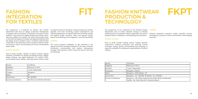| Award                      | Certificate                     |
|----------------------------|---------------------------------|
| Eligibility                | Minimum of 10+2                 |
| Duration                   | 1 year, 5 days/week             |
| Campus                     | Bengaluru                       |
| <b>Seats</b>               | 30                              |
| <b>Course Fee</b>          | Rs.1,00,300/-                   |
| <b>Course Coordinators</b> | Ms. Monica A N & Ms. Kakoli Das |

# **FASHION INTEGRATION FOR TEXTILES**

**FIT**

The programme is conducted by Fashion and Textiles department with focus on design, production development on apparel and home fashion for domestic and export market segment. It also focuses on digital designing of printed, woven and value addition for textiles. The course will provide inputs on the technical aspects of textiles and apparel production and the design process needed to give a complete understanding of the field. It also elaborates on the concepts of fashion trends and forecast, export merchandising and visual merchandising needs closer.

## COURSE CONTENT

Area of study includes element of fashion textiles/ apparel industries, foundation for design and design process, graphic design software and digital application for textiles, CAD– woven design & print design, weaving practical, fashion trends

for apparel and home furnishing, material and process textiles, apparels and home furnishing, product development and marketing application for apparel and home furnishing, textiles and apparel quality assurance, fabric and apparel costing, export merchandising and management, visual merchandising.

## CAREERS

The course prepares candidates to get absorbed in the apparel and home furnishing industries in the areas of fashion coordinator, merchandising and product development manager, CAD operators and for those who want to start their own Boutique.

| l Award                    | Certificate                                                             |
|----------------------------|-------------------------------------------------------------------------|
| Eligibility                | Minimum of 10+2                                                         |
| Duration                   | 1 year, 5 days/week                                                     |
| Campuses                   | Bengaluru, Kolkata                                                      |
| Seats                      | Bengaluru - 30 & Kolkata - 35                                           |
| Course Fee                 | Bengaluru - Rs. 1,20,000/- & Kolka                                      |
| <b>Course Coordinators</b> | Bengaluru - Ms. Nithya Venkatara<br>Kolkata - Mr. Partha Seal & Dr. Sur |

| <b>FASHION KNITWEAR</b> |
|-------------------------|
| <b>PRODUCTION &amp;</b> |
| <b>TECHNOLOGY</b>       |



ata - Rs. 1,00,300/-

man & Ms. Shelly Jain Bhandari mantra Bakshi

## COURSE CONTENT

The programme to be conducted by the Knitwear Design Department aims to impart intensive training to knitwear professionals for the garment industry, especially in the area of knitwear fashion coordination, merchandising and production. **CAREERS** Knitwear production executive, quality controller, product development executives, fashion merchandiser and packaging executive.

Area of study includes knitting, pattern making, garment construction, knitwear production and planning, surface technique, costing, quality, merchandising and marketing, to equip the candidate for professional responsibilities of fashion industry.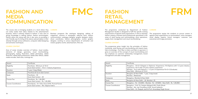| Award               | Certificate                                                                               |
|---------------------|-------------------------------------------------------------------------------------------|
| Eligibility         | Panchkula - Minimum of 10+2<br>Surat (Sub Center) - 10+2 + Industry Experience            |
| Duration            | 1 year, 5 days/Week                                                                       |
| Campuses            | Panchkula & Surat (Sub Center)                                                            |
| <b>Seats</b>        | Panchkula - 30<br>Surat (Sub Center) - 20                                                 |
| Course Fee          | Panchkula - Rs. 1,06,200/-<br>Surat (Sub Center) - Rs. 1,00,300/-                         |
| Course Coordinators | Panchakula - Dr. Vishu Arora & Mr. Pramod Kumar<br>Surat (Sub Center) – Ms. Kalpana Kabra |

# **FASHION AND MEDIA COMMUNICATION**

**FMC**

The course aims at bringing students at a level where they can easily realize their ideas related to the advertisement business, which is directly related to fashion. It also aims at Business prospects like catalogue designing, editing of giving knowledge in editing fashion, fashion terminologies, fashion ethics but along with this it also aims at providing a user friendly way for bring all the above said principles in their attempt through various software's, computer aided designing and animation techniques.

## COURSE CONTENT

Area of study includes overview of fashion, visual studies, elements of design, geometry, visual merchandising, photography, styling, illustration, adobe photoshop, adobe illustrator, adobe flash professional, adobe after effects, adobe media encoder, field visits, trainings etc.

CAREERS

magazines, columns in newspaper, editorial work, fashion communication, catalogue designer, graphic designer, stylist, shoot coordinator, fashion photographer, motion graphic designer, working in various departments of animation and

motion graphics world, advertisement, films etc.

| Award                      | Certificate                                                                                                                                                  |
|----------------------------|--------------------------------------------------------------------------------------------------------------------------------------------------------------|
| Eligibility                | Bengaluru - 10+2+3 (Degree or Diploma)<br>experience /10+2 with 3-4 years industry<br>Mumbai - 10+2 with Diploma + 1-2 year o<br>New Delhi - Minimum of 10+2 |
| Duration                   | Bengaluru & New Delhi - 1 year, 3 days/w<br>Mumbai - Weekends                                                                                                |
| Campuses                   | Bengaluru, Mumbai & New Delhi                                                                                                                                |
| <b>Seats</b>               | Bengaluru & New Delhi - 30, Mumbai-25                                                                                                                        |
| <b>Course Fee</b>          | Bengaluru - Rs. 1,03,840/-, Mumbai - Rs. 1                                                                                                                   |
| <b>Course Coordinators</b> | Bengaluru – Prof. Dr. Sanjeev Malage & M<br>Mumbai - Ms. Lipi Choudhary & Ms. Sona<br>New Delhi - Dr. Deepak Joshi & Prof. Ama                               |

# **FASHION RETAIL MANAGEMENT**

# **FRM**

iploma) + Experience /10+Diploma with 1-2 years industry ndustry experience 2 year of experience/10+2+3 (Graduate)

days/week

ai - Rs. 1,29,800/-, New Delhi - Rs. 1,00,000/-

age & Mr. Pratik Ghosh  $\overline{\mathsf{A}}$ s. Sonali Saldanha rof. Amandeep Singh Grover

## COURSE CONTENT

The programme conducted by Department of Fashion Management Studies is designed to fulfil the specific training requirements of apparel retail organizations. It aims to develop fashion industry oriented retail professionals specialized in the areas of retail buying and merchandising, store operations, supply chain management and visual merchandising. **CAREERS** The programme equips the students to pursue careers in apparel retail organizations as merchandisers, store managers, visual display experts, brand managers, customer care executives and image promoters.

The programme gives insight into the principles of fashion marketing, retail buying and merchandising and imparts basic fabric knowledge - from fiber to fabric and fabric to garment. It gives an overview of the concept of visual merchandising and lays emphasis on customer relationship management, brand management and sales management.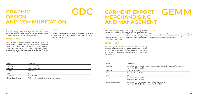| Award               | Certificate                                    |
|---------------------|------------------------------------------------|
| Eligibility         | Minimum of $10+2$                              |
| Duration            | l year, 5 days/week                            |
| Campus              | New Delhi                                      |
| <b>Seats</b>        | 30                                             |
| <b>Course Fee</b>   | Rs. 1,20,000/-                                 |
| Course Coordinators | Prof. Dr. Vijay Kumar Dua & Ms. Lavina Bhaskar |

# **GRAPHIC DESIGN AND COMMUNICATION**

**GDC**

The program conducted by the Fashion Communication aims at CAREERS providing training in the area of graphics, publication design and communication design. An exciting upcoming area, it leads An exciting upcoming area, it leads to opportunities in print to opportunities in print and web- based media.

## COURSE CONTENT

Area of study includes elements of design, history of communication design, graphics, copywriting, publication design, typography, corporate graphics, poster brochure design, printing techniques, appreciation of photography, presentation techniques, web graphic, digital portfolio and communication design management.

The programme conducted by Department of Fashion Management Studies is designed to fulfil the specific training needs of garment export establishments. The curriculum is planned as a series of interrelated modules that gradually upgrade garment export management and merchandising capabilities of the students. This course prepares professionals for the garment industry to pursue careers as merchandisers, sampling coordinators, quality controllers and sourcing agents.

and web-based media like Graphic, Publication Design and Communication Design.

| Award                      | Certificate                                                            |
|----------------------------|------------------------------------------------------------------------|
| Eligibility                | Bengaluru - $10+2+3$ with 0-1 year<br>New Delhi - Minimum 10+2         |
| Duration                   | 1 year, 3 days/week                                                    |
| Campuses                   | Bengaluru & New Delhi                                                  |
| <b>Seats</b>               | 30                                                                     |
| Course Fee                 | Bengaluru - Rs.1,03,840/-<br>New Delhi - Rs.1,20,000/-                 |
| <b>Course Coordinators</b> | Bengaluru - Ms. Nethravathi T. S 8<br>New Delhi - Mr. Sanjay Kumar & N |

# **GARMENT EXPORT MERCHANDISING AND MANAGEMENT GEMM**

### COURSE CONTENT

Area of study includes multifunctional areas like merchandising, principles and techniques of exports merchandising, fashion materials: fabric and trims, garment production and quality assurance and international trade practices, procedures and management.

## CAREERS

 $\epsilon$  of experience/10+2 with 3-4 years of experience

k Prof. Dr. Gulnaz Banu 1s. Jasmine S Dixit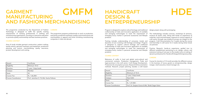| Award                      | Certificate                               |
|----------------------------|-------------------------------------------|
| Eligibility                | Minimum $10+2$                            |
| Duration                   | 1 year, 3 days/week                       |
| Campus                     | Mumbai                                    |
| <b>Seats</b>               | 30                                        |
| <b>Course Fee</b>          | Rs. 1,06,200/-                            |
| <b>Course Coordinators</b> | Prof. Jamichan S. P. & Ms. Kavita Pathare |

# **GARMENT MANUFACTURING AND FASHION MERCHANDISING GMFM**

The programme conducted by the Department of Fashion Technology is designed to fulfill the specific training requirements of working professionals in clothing and manufacturing organizations, focusing on interactive education to promote quality workmanship and best business practices.

## COURSE CONTENT

Area of study includes garment construction, pattern making, textile science, garment machinery and equipment, production planning and control, merchandising, quality assurance, product development and costing.

### CAREERS

The programme prepares professionals to work as production executives, production assistants, quality control executives and merchandisers in apparel and home furnishing manufacturing companies in India and abroad.

| Award                      | Certificate                       |
|----------------------------|-----------------------------------|
| Eligibility                | Minimum of $10+2$                 |
| Duration                   | 1 year, 5 days/week               |
| Campus                     | New Delhi                         |
| Seats                      | 30                                |
| Course Fee                 | Rs. 1,47,500/-                    |
| <b>Course Coordinators</b> | Prof. Dr. Sanjeev Kumar & Ms. Sha |

# **HANDICRAFT DESIGN & ENTREPRENEURSHIP**

# **HDE**

# **CAREERS**

akti Sagar Katre

## COURSE CONTENT

Program is designed to explore cultural heritage and traditional craftsmanship of India and innovative application of available and emerging technologies to meet the requirement of emerging luxury market in personal accessories and lifestyle products. design project along with prototyping The methodology includes Lectures, workshops & seminars, museum & cluster visits. Along with hands on experience of materials, tools and techniques, exposure to various aspects of craft sector through case studies & surveys are integral to the program. Craft Documentation for 2 weeks during the course and Internship in craft sector for 2 weeks during winter break are planned.

Training includes understanding of consumer, trends and dynamics of ever evolving craft heritage and design. Program is designed to explore cultural heritage and traditional craftsmanship of India and innovative application of available and emerging technologies to meet the requirement of emerging luxury market in personal accessories and lifestyle products. Practice, Research, hands-on experience, guided tour to different establishment pertaining to art, design, culture, and extensive training of one year to the student aims at making of dynamic professional for Handicraft Design & Entrepreneurship.

Relevance of crafts in local and global socio-cultural and commercial contexts. Production management, Trade and legal practices in the craft sector. Craft Design Development, Production & consumption process. Research & Documentation methods. Research, project planning, besides a craft based Course for duration of 12 month provides the different avenue in the business of luxury goods as entrepreneurship, design manger, retail executive, brand manager etc.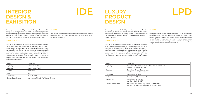# Award Certificate Eligibility Minimum of 10+2 Duration 1 year, 3 days/week Campus **New Delhi** Seats 30  $\Gamma$ Course Fee Rs. 1,40,000/-Course Coordinators Ms. Ananya Mitra & Prof. Savita S. Rana

# **INTERIOR DESIGN & EXHIBITION**

**IDE**

## The program conducted by the Textile Design Department is designed to train professionals for the new emerging areas in exhibition & display as well as for interior designing of exhibition areas & booths, home interiors, offices, hotels, restaurants, resorts, shops, window displays of showroom and others.

## COURSE CONTENT

Area of study included an amalgamation of design thinking, technical knowledge and design skills, elements & principles of design, design process, trend & forecast, visual merchandising, historic styles and design movements, material sourcing, basic and perspective drawing, measurement drawings at site/field, auto cad, technical drawings for plans, elevations & sections, presentation techniques and drawing stools, materials & finishes, basic services like lighting, heating and ventilation, professionals practices.

## CAREERS

The course prepares candidates to work as freelance interior designers, work as team members with senior architects and exhibition designers.

| Award                      | Certificate                                                           |
|----------------------------|-----------------------------------------------------------------------|
| Eligibility                | Bengaluru - Minimum of 10+2 & 1-<br>Mumbai - Minimum of 10+2          |
| Duration                   | Bengaluru - 1 year, 3 days/week<br>Mumbai - 1 year, Weekends          |
| Campuses                   | Bengaluru & Mumbai                                                    |
| Seats                      | Bengaluru - 30 & Mumbai – 20                                          |
| Course Fee                 | Bengaluru - Rs. 1,03,840<br>Mumbai - Rs. 1,18,000/-                   |
| <b>Course Coordinators</b> | Bengaluru - Ms. Shipra Roy & Prof.<br>Mumbai - Mr. Kumar Sudeepta & N |

# **LUXURY PRODUCT DESIGN**

# **LPD**

# **CAREERS**

This programme conducted by the Department of Fashion and Lifestyle Accessory introduces the students to various possibilities in the area of luxury goods. Given the scope of the field and the growing market, it provides new avenues for product design.

### COURSE CONTENT

Area of study includes understanding of dynamics, principles & techniques of product design, awareness of market-specific consumer and brands, new dimensions and perspectives for jewellery design, hard goods and fashion accessories. Practice, research, hands-on experience, guided tours pertaining to art, design, culture and extensive training of one year goes into the making of a dynamic professional for luxury goods industry.

Luxury product designers, design managers, CAD/CAM experts, product stylists, experts in sustainable design processes: green design, packaging designers, design researchers and analysts, communication designers, product merchandiser, visual merchandiser, brand manager, user experience designers, design entrepreneurs and retail executives.

-2 years of experience

Dr. Yathindra L Mr. Shripati Bhat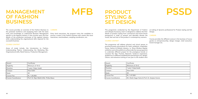| Award                      | Certificate                              |
|----------------------------|------------------------------------------|
| Eligibility                | Minimum of 10+2                          |
| Duration                   | year, 2 days /week                       |
| Campus                     | New Delhi                                |
| <b>Seats</b>               | 40                                       |
| <b>Course Fee</b>          | Rs. 1,20,000/-                           |
| <b>Course Coordinators</b> | Prof. Dr. Rajiv Malik & Ms. Pritika Bawa |

# **MANAGEMENT OF FASHION BUSINESS**

**MFB**

The course provides an overview of the Fashion Business to the potential workforce and equipping them with the basic tools and knowledge to understand Business Management Entry level executives: the program trains the candidate to specific to the Apparel Industry. It also touches upon the finer details of the production processes of the apparel industry while understanding the organizational skills required for the successful business.

# **PRODUCT STYLING & SET DESIGN**

## COURSE CONTENT

Areas of study include, the Introduction to Fashion, Understanding Fabrics Understanding the Marketing Mix, Organizational skills, Retail Science, Production Management.

CAREERS

pursue a career in the Fashion business with careers like store executives, merchandisers, sampling coordinators, etc.

| Award               | Certificate                          |
|---------------------|--------------------------------------|
| Eligibility         | Minimum of 10+2                      |
| Duration            | 1 year, 5 days/week                  |
| Campus              | New Delhi                            |
| Seats               | 30                                   |
| <b>Course Fee</b>   | Rs. 1,47,500/-                       |
| Course Coordinators | Mr. Shakti Sagar Katre & Prof. Dr. S |

# **PSSD**

### COURSE CONTENT

This programme conducted by the Department of Fashion and Lifestyle Accessory and it is designed to address the finer details of product styling from commercial and brand driven perspective in order to present and desirably elevate the mood, feel and look of the product in contemporary scenario. at making of dynamic professional for Product styling and Set Design. CAREERS

The programme will address physical and virtual spaces to promote brands and products for retail, exhibition, hospitality, Home, fashion & lifestyle industry. i.e. Show Window display, exhibition and online platforms will provide the new perspective to undertake different project for the prestigious brands or conceive the idea. Practice, Research, hands-on experience, guided tour to different establishment pertaining to art, design, culture, and extensive training of one year to the student aims

Course provides the different avenue in the business of luxury goods as entrepreneurship, design manger, retail executive, brand manager etc.

Sanjeev Kumar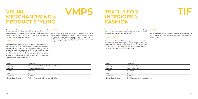| Award               | Certificate                                     |
|---------------------|-------------------------------------------------|
| Eligibility         | 10+2 or above with interest in design & fashion |
| Duration            | 9 months, 3 days/week                           |
| Campus              | New Delhi                                       |
| <b>Seats</b>        | 30                                              |
| Course Fee          | Rs. 88,500/-                                    |
| Course Coordinators | Prof. Dr. Anupam Jain & Ms. Lavina Bhaskar      |

# **VISUAL MERCHANDISING & PRODUCT STYLING**

**VMPS**

A custom-made programme to prepare young aspirants of develop the understanding of role of design in 'Visual Merchandising & Product Styling' (VMPS) using appropriate design methods and techniques to enhance the window, display of merchandise and styling.

## COURSE CONTENT

This programme intent to offer an insight into the basics of VM design. The components include, design fundamentals, understanding the relation of form and space, lighting, material, props and execution. Visual research in areas of styling, types of styling and role of styling in fashion industry to emphases products, merchandise and personalities. Role of trends & forecast, followed by market surveys, visit to exhibition galleries, museums and exhibitions.

### CAREERS

The aspirants may able to pursue a career as a Visual Merchandising designer and Stylist or an Installation designer with national/international retail brands/ stores to boutiques to exhibition displays. Work as Stylist for fashion/product shoots/ settings or and for fashion journals /media.

| Award               | Certificate                        |
|---------------------|------------------------------------|
| Eligibility         | Minimum of 10+2                    |
| Duration            | 1 year, 5 days/week                |
| Campus              | Panchkula                          |
| Seats               | 30                                 |
| Course Fee          | Rs. 94,400/-                       |
| Course Coordinators | Dr. Vishu Arora & Mr. Pramod Kumar |

# **TEXTILE FOR INTERIORS & FASHION**



## **CAREERS**

The programme conducted by Department of Textile Design aims to train professionals and young enthusiasts to pursue careers in interiors and apparel industry.

## COURSE CONTENT

The course is structured to enable participants to understand and enhance their knowledge of textile usage of the home furnishing and garment sector. This course will include basic of fabric and its value addition, and design development for textiles and apparel in the fashion industry.

The programme mainly targets aspiring entrepreneurs as well as coordinators and managers working in the textile and fashion industry

| <b>ar</b> |  |
|-----------|--|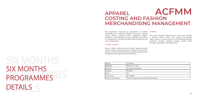# PROGRAMMES<sup>S</sup> DETAILS DETAILS SIX MONTHS PROGRAMMES

| Award               | Certificate                                   |
|---------------------|-----------------------------------------------|
| Eligibility         | Minimum of $10+2$                             |
| Duration            | 6 months, weekends                            |
| Campus              | Mumbai                                        |
| <b>Seats</b>        | 30                                            |
| Course Fee          | Rs. 82,600/-                                  |
| Course Coordinators | Prof. Dr. Ranjan Kumar Saha & Mr. Nitin Salve |

# **APPAREL COSTING AND FASHION MERCHANDISING MANAGEMENT ACFMM**

COURSE CONTENT

This programme conducted by Department of Fashion Technology aims to impart knowledge in the areas of apparel costing, fashion marketing, retail management, apparel production, merchandising and export operation procedures for professionals in domestic & export fashion business as well as for entrepreneurs. The course prepares professionals for the garment industry in domestic market, fashion retail industry and garment export industry to pursue careers as merchandising manager, production manager, sampling manager, quality control manager, buying agent and entrepreneur.

Areas of study includes overview of fashion, apparel & textile industry, fashion marketing, garment costing & consumption, garment manufacturing technology, production planning, retail management and import & export procedures.

## CAREERS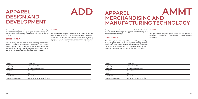# **APPAREL DESIGN AND DEVELOPMENT**

**ADD**

| Award                      | Certificate                 |
|----------------------------|-----------------------------|
| Eligibility                | Minimum of 10+2             |
| Duration                   | 6 months, 5 days/week       |
| Campus                     | Bengaluru                   |
| Seats                      | 30                          |
| <b>Course Fee</b>          | Rs. 71,390/-                |
| <b>Course Coordinators</b> | Ms. Renjini G. & Ms. Nanika |

# **APPAREL MERCHANDISING AND MANUFACTURING TECHNOLOGY AMMT**

This programme enables career oriented student with holistic and in depth knowledge of apparel merchandising and manufacturing technology.

## COURSE CONTENT

Area of study includes sewing, cutting and finishing, knowledge of apparel production, knowledge of pattern making, garment construction and textile science, merchandising, production planning quality management, costing and lean manufacturing, costing and modern practices in Manufacturing Technology.

## CAREERS

This programme prepares professionals for the profile of production management, merchandisers, quality auditors/ technicians.

| Award                      | Certificate                      |
|----------------------------|----------------------------------|
| Eligibility                | Minimum of $10+2$                |
| Duration                   | 6 months, 5 days/week            |
| Campus                     | Bengaluru                        |
| <b>Seats</b>               | 30                               |
| <b>Course Fee</b>          | Rs. 71.390/-                     |
| <b>Course Coordinators</b> | Mr. Arivoli N. & Mr. Joseph Regy |

The aim of the programme is to develop manpower with design and manufacturing skills and give inputs in apparel design and development process using both manual and state of the art IT tools.

## COURSE CONTENT

Area of study includes apparel manufacturing, body shape analysis, standard measurement techniques, flat pattern making, garment construction and its methods of construction and attachment, computerized pattern making, grading and lay planning, elements of design, digital design techniques.

## **CAREERS**

The programme prepare professional to work in apparel industry with an ability to integrate the latest information technology. The candidates completing this course can work as assistant to mid-level managers and supervisors and also work as CAD operators to manage the production and cutting room.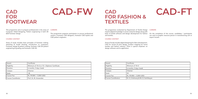| Award                     | Certificate                                  |
|---------------------------|----------------------------------------------|
| Eligibility               | Minimum of 10+2 or 10 + Diploma/ Certificate |
| Duration                  | 6 months, 5 days /week                       |
| Campus                    | Chennai                                      |
| <b>Seats</b>              | 30                                           |
| <b>Course Fee</b>         | Rs. 59,000/- / 2,000 (USD)                   |
| <b>Course Coordinator</b> | Prof. Dr. M. Aravendan                       |

# **CAD FOR FOOTWEAR**

# **CAD-FW**

This programme aims to prepare professionals in the areas of CAREERS Computer Aided Designing, Pattern engineering in both 2D &3D footwear design.

## COURSE CONTENT

Areas of study includes basic principles of footwear making, sketching & modal drawing, introduction to computers, Footwear design & pattern making, footwear CAD 2D pattern engineering & grading and footwear CAD-3D.

The programme prepares participants to pursue professional careers s footwear CAD designers, footwear CAD stylists and CAD pattern engineers.

| Award                      | Certificate                            |
|----------------------------|----------------------------------------|
| Eligibility                | Minimum of $10+2$                      |
| Duration                   | 6 months, 5 days /week                 |
| Campus                     | Chennai                                |
| Seats                      | 20                                     |
| Course Fee                 | Rs. 59,000/- / 2,000 (USD)             |
| <b>Course Coordinators</b> | Dr. G. Krishnaraj & Mr. B. Karthikeyan |

# **CAD FOR FASHION & TEXTILES**



| yan |  |  |
|-----|--|--|
|     |  |  |

## COURSE CONTENT

The programme conducted by Department of Textile Design imparts digital knowledge in woven and print design along with basic of textile software and design development for fashion and textiles. CAREERS On the completion of the course, candidates / participants can work as graphic resource person in manufacturing unit or export houses.

Areas of study includes digital designing for fabric development, CAD for woven & print design, product mapping for home textiles and fashion industry. There is special emphasis on design software and its application.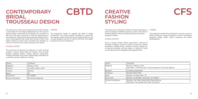| Award                     | Certificate             |
|---------------------------|-------------------------|
| Eligibility               | Minimum 10+2            |
| Duration                  | 6 months, 3 days / week |
| Campus                    | Mumbai                  |
| <b>Seats</b>              | 20                      |
| <b>Course Fee</b>         | Rs. 70,800/-            |
| <b>Course Coordinator</b> | Ms. Shweta Rangnekar    |

**CAREERS** 

# **CONTEMPORARY BRIDAL TROUSSEAU DESIGN**

# **CBTD**

The Programme conducted by Department of Fashion Design is tailor-made for the design professionals from the areas of apparel design, construction & technology. The curriculum of the course has been structured to meet the requirements of the bridal wear industry & has been especially designed with a view to help aspirants who would like to create a niche in the fashion industry as ethnic wear and bridal wear designers as boutiques and as an entrepreneur. well as for those who are already working in the industry.

## COURSE CONTENT

The curriculum is structured in an endeavor to instill practical problems solving ability within the students. Area of study includes advanced pattern making, garment construction, finishing techniques and unique surface design techniques for exclusivity and value addition to clothing.

The programme targets to upgrade the skills of design professionals. The course prepares candidates to setup their own signature labels, bridal and couture design studios as well as assist designers and also to start on with their own design

| Award                      | Certificate                                                          |
|----------------------------|----------------------------------------------------------------------|
| Eligibility                | Mumbai - Minimum 10+2<br>New Delhi - 10+2/10+2 with 1-2 ye           |
| Duration                   | 6 months, 3 days/week                                                |
| Campuses                   | Mumbai & New Delhi                                                   |
| Seats                      | Mumbai - 25, New Delhi - 30                                          |
| <b>Course Fee</b>          | Mumbai - Rs. 82,600/-, New Delhi -                                   |
| <b>Course Coordinators</b> | Mumbai - Ms. Tulika Tandon & Mr.<br>New Delhi - Ms. Upinder Kaur & M |

# **CREATIVE FASHION STYLING**



## **CAREERS**

The Programme conducted by Knitwear Design Department is aimed to prepare candidates aspiring to enter in the field of fashion & styling or who are already working in the fashion & apparel industry.

## COURSE CONTENT

Areas of Study includes fashion appreciation, elements & principles of design, overview of history of costumes, fashion forecasting, clothing trends, concepts of fashion styling, hair & make-up workshop, and also inputs on styling for Visual merchandising, fashion blogging & photography basics.

The programme enables the participants to pursue a career in fashion styling and image consultancy as well as with fashion designers, design studios, fashion magazines and fashion photographers.

ears experience/ 10+2 with diploma.

 $Rs. 94,400$  /-

Dhanraj Survase ls. Amrita Roy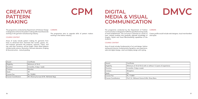| Award               | Certificate                              |
|---------------------|------------------------------------------|
| Eligibility         | Minimum of $10+2$                        |
| Duration            | 6 months, 2 days / week                  |
| Campus              | Mumbai                                   |
| <b>Seats</b>        | 20                                       |
| Course Fee          | Rs. 70,800/-                             |
| Course Coordinators | Mr. Dhanraj Survase & Mr. Abhishek Bajaj |

# **CREATIVE PATTERN MAKING**

**CPM**

The programme conducted by Department of Knitwear Design is designed to enhance the pattern making skills of professionals

working in the garment manufacturing industry.

COURSE CONTENT

Areas of study include pattern making for garments from

# basic to advanced level. Garments like corsets, gowns, etc.

and knitwear garments like bodysuit, swimsuit, T-shirt, and top, with their variations, will be taught. Other allied Subjects include textile science, illustration, Garment alteration, Draping & Deconstruction, manual grading.

CAREERS

The programme aims to upgrade skills of pattern makers

working in the fashion industry.

| Certificate                                |
|--------------------------------------------|
| Minimum of 10+2/10+2 with or without 1-2   |
| 6 months, 3 days a week                    |
| Bengaluru                                  |
| 30                                         |
| Rs. 77,800/-                               |
| Prof. Dr. Vibhavari Kumar & Ms. Dinaz Banu |
|                                            |

# **DIGITAL MEDIA & VISUAL COMMUNICATION**



thout 1-2 years of experience

The programme conducted by the Department of Fashion Communication is designed to fulfill the specified training needs of retail establishment. The curriculum is planned as a series of inter- related modules that gradually upgrade knowledge of Graphic, Stylish and Visual Merchandising capabilities of the students. CAREERS Career profile would include web designer, visual merchandiser and stylist.

## COURSE CONTENT

Area of study includes fundamentals of art and design, fashion styling and costume, fundamentals of graphics, user experience, web and digital design, retail and display design with styling.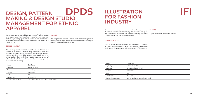| Award               | Certificate                                |
|---------------------|--------------------------------------------|
| Eligibility         | Minimum $10+2$                             |
| Duration            | 6 months, 5 days / week                    |
| <b>Campus</b>       | Bengaluru                                  |
| Seats               | 30                                         |
| Course Fee          | Rs. 71,390/-                               |
| Course Coordinators | Ms. T. Rajalakshmi Rao & Mr. Suresh Babu V |

# **DESIGN, PATTERN MAKING & DESIGN STUDIO MANAGEMENT FOR ETHNIC APPAREL DPDS**

The programme conducted by Department of Fashion Design aims to prepare professionals in the area of apparel designing, pattern engineering, garment on constructions, emphasizing value addition by different surface techniques and setting of a design studio.

## COURSE CONTENT

Area of study includes in-depth understanding of the skills and techniques of manual pattern making for women's wear and exploring different Indian silhouettes and contains garment construction, how to establish a Design Studio with innovative space design. The curriculum includes practical study of different surface techniques / ornamentation, its design process and fabric understanding.

## CAREERS

The programme aims to prepare professionals for garment industry as well as young designers / entrepreneur catering to domestic and international market.

| Award               | Certificate                      |
|---------------------|----------------------------------|
| Eligibility         | Minimum of $10+2$                |
| Duration            | 6 months, 3 days /week           |
| Campus              | New Delhi                        |
| Seats               | 30                               |
| <b>Course Fee</b>   | Rs. 70.800/-                     |
| Course Coordinators | Ms. Smita Som & Mr. Ashok Prasad |

# **ILLUSTRATION FOR FASHION INDUSTRY**



The course develops awareness and skills required for illustration for the Fashion Industry. The students are given input on fashion illustration and technical drawing with hand Apparel Illustrator, Technical illustratordrawing techniques and digital techniques. CAREERS

## COURSE CONTENT

Area of Study: Fashion Drawing and Illustration, Computer Application, Digital Drawing, Technical Illustration, Presentation Techniques. The programme culminates in a portfolio project.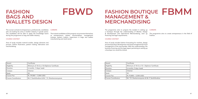| Award                      | Certificate                                        |
|----------------------------|----------------------------------------------------|
| Eligibility                | Minimum of 10+2 or 10+Diploma/ Certificate         |
| Duration                   | 6 months, 5 days/ week                             |
| Campus                     | Chennai                                            |
| <b>Seats</b>               | 30                                                 |
| Course Fee                 | Rs. 59,000/- / 2,000 (USD)                         |
| <b>Course Coordinators</b> | Mr. P. Senthilnathan & Mr. T. R. Shankaranarayanan |

**CAREERS** 

# **FASHION BAGS AND WALLETS DESIGN**

**FBWD**

The course is aimed at entrepreneurs, professionals, candidates who are looking for entry in leather industry in goods sector. The candidates will be able to apply the knowledge learnt

during the programme to bag and wallet industry.

COURSE CONTENT

a/ Certificate

**Course Conthilinathan** 

## Area of study includes material studies, design elements and process, fashion illustration, pattern making, fabrication and merchandising.

The trained candidates of this program can promote themselves as entrepreneurs, stylists, merchandisers, management trainees, pattern makers, supervisors in bags and wallets

manufacturing and retail sector.

| Award                      | Certificate                       |
|----------------------------|-----------------------------------|
| Eligibility                | Minimum of 10+2 or 10 + Diploma   |
| Duration                   | 6 months, 5 days /week            |
| Campus                     | Chennai                           |
| Seats                      | 30                                |
| <b>Course Fee</b>          | Rs 70,800/- / 2,500 (USD)         |
| <b>Course Coordinators</b> | Mr. T.R. Shankarnarayanan & Mr. F |

# **FASHION BOUTIQUE MANAGEMENT & MERCHANDISING FBMM**

## COURSE CONTENT

The programme aims to prepare the student in setting up a boutique through the understanding of Market, Design & development and Operational Merchandising, start up financing and legal requirements. CAREERS The programme aims to create entrepreneurs in the field of Fashion.

Area of study includes fashion forecasting for markets, design process & product development and retail management & visual management of the merchandise. With this understanding, the business financing and the legal aspect pertaining to setting up a boutique too would be shared.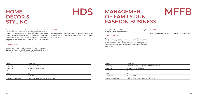| Award                      | Certificate                                |
|----------------------------|--------------------------------------------|
| Eligibility                | Minimum of 10+2 + Diploma Certificate 1    |
| Duration                   | 6 months, 5 days / week                    |
| Campus                     | Bengaluru                                  |
| Seats                      | 30                                         |
| Course Fee                 | Rs. 1,18,000/-                             |
| <b>Course Coordinators</b> | Prof. Dr. Gulnaz Banu & Dr. Krithika G. K. |

# **MANAGEMENT OF FAMILY RUN FASHION BUSINESS**



To assist family owned fashion business in understanding the changing dynamics of competition.

## COURSE CONTENT

The programme includes Modern marketing, Merchandising, Retail tools and techniques and inculcates entrepreneurial competitiveness. The Course sensitizes the participants to different leadership styles which would help them captain their enterprises.

# CAREERS

The course prepares candidates for Running family business.

 $i$ ficate 10+2+3

| Award                      | Certificate                              |
|----------------------------|------------------------------------------|
| Eligibility                | Minimum of 10+2                          |
| Duration                   | 6 months, 5 days/ week                   |
| Campus                     | Hyderabad                                |
| <b>Seats</b>               | 35                                       |
| <b>Course Fee</b>          | Rs. 59,000/-                             |
| <b>Course Coordinators</b> | Prof. Chiranjeevi Reddy & Mr. K. K. Babu |

# **HOME DÉCOR & STYLING**

# **HDS**

The programme conducted by Department of Fashion & Lifestyle Accessories focuses on home styling and its emerging trends. The emphasis is on conceptualization and design process skills with the objective of strengthening competency. Programme would be for entrepreneurs/ professionals/ students/ housewife desiring to start his/ her own home styling business.

## COURSE CONTENT

Training inputs will include Elements of Design, principles of Design, different material properties understanding, craft studying, trends and forecasting and CAD.

| . . | ≀⊐ ∖∩ |  |  |
|-----|-------|--|--|
|     |       |  |  |

The programme prepares students to pursue career in the Home decorator, Consultant as Interior decoration, hobbyist and Home Stylist.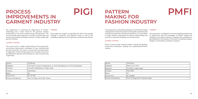| Award                      | Certificate                           |
|----------------------------|---------------------------------------|
| Eligibility                | Minimum of $10+2$                     |
| Duration                   | 6 months, 3 days /week                |
| Campus                     | New Delhi                             |
| <b>Seats</b>               | 30                                    |
| <b>Course Fee</b>          | Rs. 82,600/-                          |
| <b>Course Coordinators</b> | Prof. V.P. Singh & Dr. Priyanka Gupta |
|                            |                                       |

# **PATTERN MAKING FOR FASHION INDUSTRY**





## **CAREERS**

The programme conducted by Department of Knitwear Design is designed to enhance the pattern making skills of professionals working in the garment manufacturing industry. It is also helpful to other industry professionals for better understanding and work flow in garment sampling and manufacturing.

### COURSE CONTENT

Areas of study include industrial pattern making and grading, construction techniques, draping and computerized Pattern making.

The programme is designed to train the budding professionals to equip them with the knowledge of Pattern making and draping for the fashion industry. It prepares the candidates to get absorbed in the industry in the areas of sampling manager, designer, merchandiser, production assistant.

| ta |  |  |
|----|--|--|
|    |  |  |

| Award                      | Certificate                                                                 |
|----------------------------|-----------------------------------------------------------------------------|
| Eligibility                | 10+2 with 1-2 years of experience or 10+2 with Diploma or 10+2+3 (Graduate) |
| Duration                   | 6 months, Weekends or 3 days/ week                                          |
| Campus                     | Hyderabad                                                                   |
| <b>Seats</b>               | 30                                                                          |
| <b>Course Fee</b>          | Rs. 53,100/-                                                                |
| <b>Course Coordinators</b> | Prof. Dr. Rajani Jain & Ms. Srivani                                         |

# **PROCESS IMPROVEMENTS IN GARMENT INDUSTRY**

**PIGI**

The programme is conducted by Department of Fashion Technology and is tailor made for the garment industry professionals in the areas manufacturing and operations. The The programme targets at upgrading the skills of the people course provides great exposure to variety of productivity and process improvement techniques relevant to Indian readymade garment industry.

## COURSE CONTENT

The course covers in depth understanding of the productivity and process improvement techniques in mass manufacturing garment industries. The course is structured to provide inputs on application of Work Study, ergonomics, Quality Control and lean Manufacturing tools and techniques in mass manufacturing of garments.

### CAREERS

working at supervisor and operator levels as well as the candidates aspiring to join the garment manufacturing industry.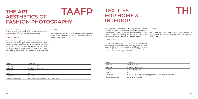| Award                      | Certificate                                  |
|----------------------------|----------------------------------------------|
| Eligibility                | Minimum of $10+2$                            |
| Duration                   | 6 months, 3 days/week                        |
| <b>Campus</b>              | New Delhi                                    |
| Seats                      | 30                                           |
| Course Fee                 | Rs. 70,800/-                                 |
| <b>Course Coordinators</b> | Mr. Vishesh Azad & Prof. Dr. Vijay Kumar Dua |

# **THE ART AESTHETICS OF FASHION PHOTOGRAPHY TAAFP**

The Fashion Photography programme aims at offering an aesthetical learning into the fashion portrait with technical and practical inputs on styling, production and lighting.

### COURSE CONTENT

The programme explores the creative possibilities into visual design and the artistic approach towards effective story telling through Fashion Photography and its sub- genres. The course will impart a hands-on approach to professional concept development camera and external flash operation with in-depth knowledge of fashion styling and production for photography.

## CAREERS

The aspirants will be able to pursue competent independent careers as photographers across the genres of Fashion and portrait photography.

| <b>Award</b>       | Certificate                        |
|--------------------|------------------------------------|
| Eligibility        | Minimum of 10th                    |
| Duration           | 6 months, 3 days / week            |
| Campus             | Varanasi (Sub Centre)              |
| Seats              | 30                                 |
| Course Fee         | Rs. 47,200/- (50% subsidy is being |
| Course Coordinator | Mr. Amitava Chowdhury              |

# **TEXTILES FOR HOME & INTERIOR**



provided to half the class strength)

## COURSE CONTENT

The programme conducted by the Department of Textile Design aims to train professionals and young enthusiasts to pursue careers in interiors and the apparel industry. It mainly targets aspiring entrepreneurs as well as coordinators and managers working in the textile and fashion industry. CAREERS The programme mainly targets aspiring entrepreneurs as well as coordinators and managers working in the textile and fashion industry.

Area of study includes basics of fabric and its value addition and design development for textiles and apparel in the fashion industry. The course is structured to enable participants to understand and enhance their knowledge of textile usage for the home furnishing and garment sector.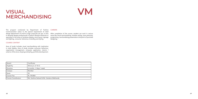| Award               | Certificate                               |
|---------------------|-------------------------------------------|
| Eligibility         | Minimum of $10+2$                         |
| Duration            | 6 months, 2 days / week                   |
| Campus              | Mumbai                                    |
| <b>Seats</b>        | 30                                        |
| <b>Course Fee</b>   | Rs. 59,000/-                              |
| Course Coordinators | Ms. Sushma Saitwal & Ms. Vandana Wekhande |

# **VISUAL MERCHANDISING**



The program conducted by Department of Fashion CAREERS Communication caters to the special requirement of retail design department of small to large corporate set ups. It aims After completion of the course, student can work in various to develop design professionals in fashion lifestyle industries to specialize in the areas of windows display, store layout, signage and lighting, consumer behaviour, branding and styling.

areas like visual merchandising, window styling, store planning, programing, merchandising presentation and point of purchase designing.

## COURSE CONTENT

Area of study includes visual merchandising with implication in retail display. Area of study includes consumer behaviour, organization management, computer application, interior / exterior of the store, draping and styling, portfolio development.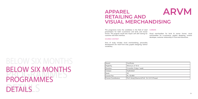# BELOW SIX MONTHS PROGRAMMES DETAILS DETAILS BELOW SIX MONTHS PROGRAMMES

| l Award             | Certificate                         |
|---------------------|-------------------------------------|
| Eligibility         | Minimum of 10+2                     |
| Duration            | 3 months, 5 days / week             |
| Campus              | Hyderabad                           |
| Seats               | 30                                  |
| Course Fee          | Rs. 35,400/-                        |
| Course Coordinators | Prof. Annaji Sharma & Prof. Dr. G I |
|                     |                                     |

# **APPAREL RETAILING AND VISUAL MERCHANDISING**



H S Prasad

## COURSE CONTENT

This programme trains the candidates in the field of retail presentation for both e-commerce and brick and mortar format. The program would also impart soft skill training for customer and client interface. CAREERS Visual merchandiser for brick & mortar format, visual merchandiser for e-commerce, graphic designing, content developer, customer relationship or front-end executives.

Area of study includes visual merchandising, personality development (for retail front end), graphic designing, fashion vocabulary.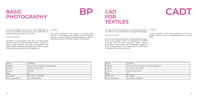| Award              | Certificate                             |
|--------------------|-----------------------------------------|
| Eligibility        | Anyone who is interested in photography |
| <b>Duration</b>    | 6 weeks, 2 days/ week                   |
| <b>Campus</b>      | Chennai                                 |
| Seats              | 30                                      |
| Course Fee         | Rs. 14,160/- / 500 (USD)                |
| Course Coordinator | Mr. P. Senthilnathan                    |

# **BASIC PHOTOGRAPHY**

| To impart knowledge and skill sets on basic photography. To |  |
|-------------------------------------------------------------|--|
| provide a foundation and environment upon which they can    |  |
| explore and progress further on their own.                  |  |

## COURSE CONTENT

Introduction to photography, Brief history of photography, difference between analog and digital camera, functions of camera, lenses, elements and rules of photography, basic inputs on lights, landscape photography, basic inputs on lights, landscape photography, portrait photography, etc.

## **CAREERS**

# **BP CAD FOR TEXTILES**

The trained candidates of this program can improve their skill sets on photography and become matured hobbyists, may join as trainee, will enjoy photographing nature, portrait, architecture, personal and family functions and occasions.

| <b>Award</b>       | Certificate                      |
|--------------------|----------------------------------|
| Eligibility        | 10th Pass with knowledge of comp |
| Duration           | 4 months, 3 days / week          |
| <b>Campus</b>      | Varanasi (Sub Centre)            |
| l Seats            | 30                               |
| Course Fee         | Rs. 35,400/-                     |
| Course Coordinator | Mr. Amitava Chowdhury            |



The objective of this programme is to provide quality inputs to the students in and around Varanasi in computer aided design.

### COURSE CONTENT

Area of study includes introduction to digital design principles, textile science, design process for development of fashion & textiles, Color & trend forecasting. Digital resource presentation, woven design, fabric designing for apparel & home furnishing product, print design, virtual merchandising and digital ink jet printing on textiles.

## CAREERS

On the completion of the course, participants can work as graphic resource person in manufacturing units or export house.

buter application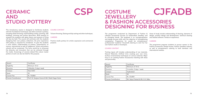| Award               | Certificate                                      |
|---------------------|--------------------------------------------------|
| Eligibility         | Minimum 10+2                                     |
| Duration            | 3 Months, 5 days/ week                           |
| <b>Campus</b>       | New Delhi                                        |
| Seats               | 30                                               |
| Course Fee          | Rs. 70,800/-                                     |
| Course Coordinators | Prof. Dr. Sanjeev Kumar & Mr. Shakti Sagar Katre |

# **CERAMIC AND STUDIO POTTERY**

**CSP**

This introductory session is designed to familiarize students with the foundational techniques and skills involved in pottery, building), trimming and surface decoration. Brief sessions to acquaint the students with glaze theory and sessions of firing CAREERS will also be held. The course will culminate with the students designing their own pottery collections. No prior experience Practice studio pottery for artistic expression and commercial with pottery is required for enrollment. To give the students a more holistic understanding of pottery, presentations on various, international as well as indigenous, artists and pottery schools will be conducted. The focus would be to showcase the diversity and innovation that can be achieved through the media. Screenings of ceramic-related films about master potters at work can also be held for this purpose.

# **SSORIES BUSINESS CJFADB**

including wheel throwing, hand-building (coiling. pinching, slab To learn throwing, Glazing and slip casting and other techniques.

## COURSE CONTENT

purpose.

| Award               | Certificate                       |
|---------------------|-----------------------------------|
| Eligibility         | Minimum of 10+2                   |
| Duration            | 3 months, 2 days / week           |
| Campus              | Hyderabad                         |
| Seats               | 30                                |
| <b>Course Fee</b>   | Rs. 23,600/-                      |
| Course Coordinators | Mr. Satya Prakash & Mr. K.K. Babu |

| <b>COSTUME</b>            |
|---------------------------|
| <b>JEWELLERY</b>          |
| <b>&amp; FASHION ACCE</b> |
| <b>DESIGNING FOR E</b>    |

### COURSE CONTENT

The programme conducted by Department of Fashion & Lifestyle Accessories focuses on handcrafted Jewellery and its emerging trends. The emphasis is on conceptualization and design process skills with the objective of strengthening competency. Programme for would be entrepreneurs/ professionals/ students/ Housewife desiring to start his/ her own fashion studio or boutiques. Areas of study include understanding of drawing, elements of design, product design and development, technical drawing and related software. Hands-on experience. CAREERS The programme prepares students to pursue careers in the

Training inputs will includes understanding of raw materials, Natural Materials; Artificial trims creating your own trims, Surface ornamentation techniques on various materials. Major focus is on creating Fashion Accessories matching with dress and personality.

Fashion accessories, Design houses, Fashion Jewellery industry as well as entrepreneurs catering to both domestic and international markets.

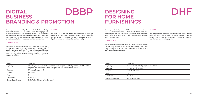| Award                      | Certificate                                                                                                                                                     |
|----------------------------|-----------------------------------------------------------------------------------------------------------------------------------------------------------------|
| Eligibility                | 10+2+Degree or equivalent/10+Diploma with 1-2 year of industry experience/10+2 with<br>3-4 years of industry experience/ Entrepreneurs and Marketing executives |
| Duration                   | 3 Months, 3 days/ week                                                                                                                                          |
| Campus                     | Bengaluru                                                                                                                                                       |
| <b>Seats</b>               | 30                                                                                                                                                              |
| Course Fee                 | Rs. 47.200/-                                                                                                                                                    |
| <b>Course Coordinators</b> | Dr. R. Rashmi Munshi & Ms. Biniya A.J.                                                                                                                          |

# **DIGITAL BUSINESS BRANDING & PROMOTION DBBP**

### CAREERS

The course is useful for current entrepreneurs or start-ups looking at promoting their business through Digital marketing. The course is also useful for candidates who wish to work in digital marketing field with end to end knowledge.

The program conducted by Department of Master of Design caters to familiarizing and understanding of the design process of creative collaterals for branding strategy. To understand and implement the digital modes of branding and promotion. The course will help in understanding the registration, logistic procedures and other related rules and documentation.

## COURSE CONTENT

**CAREERS** The programmme prepares professionals for surat's textile, home furnishing and interior designing industry to pursue careers as young entrepreneurs, designers, sampling coordinators, and sourcing agents. The program is designed to fulfill the specific needs of Surat's Fabric (Saree, Suit and Fashion Fabric) manufacturers and Home Furnishing Market. The curriculum is planned in manner that the interrelation of subjects will upgrade the fabric ornamentation skills of the students.

The course includes inputs on branding- Logo, graphics, content writing, photography, product styling and other methods of creative collateral building. The material developed in class will be used for promotion and sales via digital means like websites, blogs, Social Media Marketing and listing of products for digital business.

| Award              | Certificate                       |
|--------------------|-----------------------------------|
| Eligibility        | 10th pass with Industry Experienc |
| Duration           | 4 months, 4 days /week            |
| Campus             | Surat (Sub Center)                |
| Seats              | 25                                |
| <b>Course Fee</b>  | Rs. 35,400/-                      |
| Course Coordinator | Ms. Kalpana Kabra                 |

# **DESIGNING FOR HOME FURNISHINGS**

# **DHF**

e / Diploma

### COURSE CONTENT

It includes subjects like basic designing, colour concept, textile technology, traditional Indian textiles, motif development and repeats, surface ornamentation, embroidery techniques, yarn craft, portfolio development.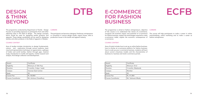| Award              | Certificate             |
|--------------------|-------------------------|
| Eligibility        | Minimum of 10th Pass    |
| <b>Duration</b>    | 5 months, 3 days / week |
| <b>Campus</b>      | Varanasi (Sub Centre)   |
| Seats              | 30                      |
| Course Fee         | Rs. 40,000/-            |
| Course Coordinator | Mr. Amitava Chowdhury   |

# **DESIGN & THINK BEYOND**

**DTB**

The programme conducted by Department of Textile Design focuses on providing exposure to participants from and other adjoining cities in the field of design. The design concepts learnt would be used for designing textile products and apparels. These design sensibilities can be used for designing textiles and other products in the fields of apparel or lifestyle.

## COURSE CONTENT

Area of studies includes introduction to design fundamentals, colours and exploration through various mediums, basic visual and representation technique, art appreciation, a glimpse of Indian and world textiles, fashion through ages, material study, introduction to motifs and repeats, market research and analysis, final design collection and development.

The participant can become a designer, freelancer, entrepreneur or consultant in various design studio, export house, mills or production house in the textile and apparel industry.

| Certificate         |
|---------------------|
| Minimum $10+2$      |
| 3 months, Weekends  |
| Mumbai              |
| 20                  |
| Rs. 41,300/-        |
| Mr. Yashwant Misale |
|                     |

# **E-COMMERCE FOR FASHION BUSINESS**

# **ECFB**

## COURSE CONTENT

The programme is aimed at fashion entrepreneurs, objective of the course is to understand the nature of e-commerce, recognize the business impact and potential of e-commerce The course will help participants to make a career in online for fashion business, explain the technologies required to make e-commerce viable, explain the economic consequences of e-commerce. **CAREERS** merchandising, online marketing and to make a career as fashion entrepreneur.

Area of study includes how to set up an online fashion business, how to choose an e-commerce platform for fashion business, how to scale up your e-commerce business, students will learn about current e-business models and the characteristics of business-to- business and retail e-commerce portals.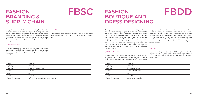| Award               | Certificate                                    |
|---------------------|------------------------------------------------|
| Eligibility         | Minimum 10+2                                   |
| <b>Duration</b>     | 3 months, 5 days/ week                         |
| <b>Campus</b>       | Hyderabad                                      |
| Seats               | 30                                             |
| Course Fee          | Rs. 35,400/-                                   |
| Course Coordinators | Prof. Dr. A. Srinivasa Rao & Mr. I. Chakrapani |

**CAREERS** 

Comprehensive introduction to main principles of fashion research, observation and development helping him/ her develop confidence in proposing strategic recommendations for brand management. Application based knowledge on brand positioning, brand identity management, brand architecture, etc. Supply chain operations, global branding and multi-branding strategies.

# **FASHION BRANDING & SUPPLY CHAIN**

**FBSC**

Areas of study include application-based knowledge on brand positioning, brand identity management, brand architecture, Supply chain operations, global branding and multi-branding strategies.

## COURSE CONTENT

Career opportunities in Fashion Retail Supply Chain Operations. Store presentation, brand ambassador; consultants; strategies;

| Award              | Certificate           |
|--------------------|-----------------------|
| Eligibility        | Minimum 10+2          |
| Duration           | 3 Months, Weekends    |
| Campus             | Varanasi (Sub Center) |
| Seats              | 30                    |
| Course Fee         | Rs. 20,000/-          |
| Course Coordinator | Mr. Amitava Chowdhury |

# **FASHION BOUTIQUE AND DRESS DESIGNING**

# **FBDD**

A programme for would be entrepreneurs desiring to start his/ her own fashion boutique. Inputs stress on working knowledge about the fabrics, body structures, cutting and sewing techniques, surface ornamentation techniques e.g. printing, embroidery etc. Thus, knowledge & skills under this programme prepares the student in understanding of the customers' needs analyse the requirements & fabricate the customized garments. NIFT, Raebareli also looks forward to socially intervene & reach out to latent talents in students, housewives etc especially around Varanasi in order to extend its horizon of activities in the social sector. & garments, Surface Ornamentation Techniques – Value Additions, Cutting & Sewing for Ladies dresses like Blouse, Petticoat , Churidar, Salwar etc, Costing and Actual Sample Development as per a simulated environment. The student with practical exposure to material references including fabric swatches, exposure through relevant books and fashion magazines in the Resource Center is also an important part of the programme. CAREERS

## COURSE CONTENT

Training Inputs will include, Understanding of Raw Material – Fabrics, Trims, Accessories, Understanding of Human Body, taking measurements, relationship of measurements

After completion, the student would be equipped with the required knowledge, appropriate skills and the right attitudes for starting their own Boutiques and hence be self confident entrepreneurs.

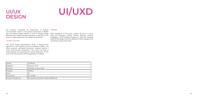| Award               | Certificate                            |
|---------------------|----------------------------------------|
| Eligibility         | Minimum 10+2                           |
| Duration            | 3 Months, 2 days/ week                 |
| Campus              | Mumbai                                 |
| <b>Seats</b>        | 30                                     |
| <b>Course Fee</b>   | Rs. 41,300/-                           |
| Course Coordinators | Ms. Susmita Das & Ms. Vandana Wekhande |

# **UI/UX**

# **DESIGN UI/UXD**

The program conducted by Department of Fashion CAREERS Communication caters to the special requirement of Mobile app and website design Industry. It aims to develop design professionals in fashion lifestyle industries to specialize in the areas of mobile application and website development.

## COURSE CONTENT

The UI/UX Design Specialization brings a design-centric approach to user interface and user experience design, and offers practical, skill-based instruction centered around a visual communication perspective. This course will help in understanding and improving the overall experience of the users when they interact with the application or website.

After completion of the course, student can work in various areas like Strategist, Analyst, Solution Planning, Arti ficial Intelligence, Visual Interface Design etc. With the changing phase of the design world, the demand of UI/UX designers are increasing in leaps and hounds.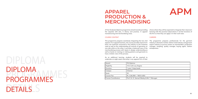# PROGRAMMES DETAILS DETAILS DIPLOMA PROGRAMMES

| Award                      | PG Diploma                         |
|----------------------------|------------------------------------|
| Eligibility                | 10+2 with any Degree               |
| Duration                   | 1 year, 5 days/week                |
| Campus                     | Chennai                            |
| Seats                      | 30                                 |
| Course Fee                 | Rs. 2,06,500/- / 5833 (USD)        |
| <b>Course Coordinators</b> | Prof. Dr. D. Samuel Wesley & Mr. T |

# **APPAREL PRODUCTION & MERCHANDISING**





## COURSE CONTENT

A Post Graduate Diploma programme aimed towards providing the requisite skill sets, in theory and practice, in apparel manufacturing and merchandising areas. choice where they will be expected to integrate their classroom learning with the practical observations in all the functions of the firm so that they can apply it in their work later.

This programme prepares seamlessly integrating the two vital aspects of an apparel business, the course provides inputs from basic raw materials consumed in the industry to the machines used as well as the understanding all nuances of garments on one side while on the other, it provides a balanced view of the merchandising process with inputs in design understanding as well as hands on training on making patterns and garments to have a holistic view of the process. The programme prepares professionals for the garment industry in domestic market, fashion retail industry and garment export industry to pursue careers as merchandiser, production manager, sampling, quality manager, buying agent, fashion entrepreneur.

As an additional learning, students will be required to undertake an eight-week internship in any apparel firm of their

## CAREERS

Course Course Contained St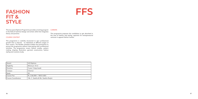| Award                      | <b>UG Diploma</b>                  |
|----------------------------|------------------------------------|
| Eligibility                | Minimum 10+2                       |
| Duration                   | 2 year, 5 days/week                |
| Campus                     | Chennai                            |
| Seats                      | 30                                 |
| <b>Course Fee</b>          | Rs. 2,06,500/- / 5833 (USD)        |
| <b>Course Coordinators</b> | Ms. C. Seetha & Ms. Geetha Ranjini |

# **FASHION FIT & STYLE**

# **FFS**

This two years Diploma Programme provides a training program CAREERS in the field of technical design and artistic skills that integrates theory and practice.

## COURSE CONTENT

This programme is carefully structured to spur professional growth that is relevant to individuals at different stages of their careers. The flexible schedule enables the participants to pursue the programme without interrupting their professional activities. The programme covers fashion studies, pattern making, draping, illustration, garment construction, fashion styling and costume study.

This programme prepares the candidates to get absorbed in the area of fashion and styling, aspirants for entrepreneurial ventures in apparel fashion market.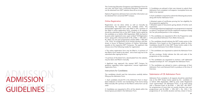# **ADMISSION** GUIDELINES GUIDELINES ADMISSION

The Continuing Education Prospectus and Admission Form for one year and short term Continuing Education Programmes can be obtained from NIFT website www.nift.ac.in/cep.

Diploma Programme admission form and other information can be obtained from concerned NIFT Campus.

# Online Registration

Registration can be done online as well as manually by downloading the registration form available online. The downloaded registration form duly filled in OR a printout of the filled in online registration form, complete in all respects should be submitted only at the NIFT Study Centre opted by the candidate on or before 30th September, 2020, by hand or by post under registered cover, super scribed "CE Registration Form" along with a Demand Draft of Rs. 2150/- + 18% GST = Rs. 2537/- for one year programmes and Rs.1200/-+ 18% GST = Rs. 1416/- for programmes of six months duration and less, drawn in favour of National Institute of Fashion Technology, payable at the respective NIFT Campuses. The applicant may choose one of the following modes for registration:

• The online registration form may be filled in. A printout of the filled in form needs to be taken, and a hard copy has to be submitted after signing the form.

• A printout of the blank form, downloaded from the website, may be taken and filled in manually.

• Applicant may approach the nearest NIFT Campus for guidance regarding online registration/ manual registration/ registration form.

Instructions for Candidates

The candidates should read the instructions carefully before filling up the Admission Form.

3. Candidates are advised in their own interest to submit their Admission Form complete in all respects. Incomplete forms are liable to be rejected.

4. Each candidate is required to submit the following documents along with his/her Admission Form:

• Attested copies of certificates proving his/ her eligibility for the programme applied for.

• Attested copies of documents giving details of his/her work experience.

• A working professional applying for any programme is required to submit a certificate from his/her respective employer stating his/ her job profile/position in the company.

5. The candidates are requested to fill in the Programme code in the prescribed Admission Form (Refer Annexure).

1. Each candidate should fill in the Admission Form in blue/ black ballpoint in his/her own handwriting if the forms being filled manually OR a printout of the filled in online form can be used. 2. Candidates are requested to fill in all the details within the boxes/spaces provided in the Admission Form. Admission Form complete in all respects should be submitted only at the NIFT Study Centre opted by the candidate on or before 30th September, 2020 by post under Registered cover superscribed "CE Admission Form" or by hand along with a Demand Draft of Rs.2150/- + 18% GST =Rs 2537/ for programmes of more than six months duration (one year programmes) and Rs.1200/- + 18% GST = Rs. 1416 /- for programmes of six months duration and less, drawn in favour

6. The candidates should indicate the NIFT study centre in the Admission Form based on the Programmes opted by them. Candidates should fill in their NIFT Study Centre codes in the pre- scribed Admission Form (Refer Annexure).

7. The candidates are requested to submit the Admission Form in an

A4 size envelope. Kindly indicate the title and code of the programme on the envelope.

8. The candidates are requested to enclose a self addressed stamped envelope (4" X 8") alongwith the Admission Form.

9. The candidates are advised to retain a photocopy of their Admission Form and Demand Draft to produce at the time of Interview.

# Submission of CE Admission Form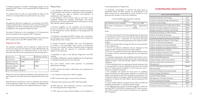of National Institute of Fashion Technology, payable at the respective NIFT Centre. Forms received after this date will not be accepted.

The Institute does not take any responsibility for delay or loss of forms or correspondence in postal transit or by courier.

## Criteria

All applicants will have to appear for an Interview at the NIFT Campus opted by them. The interview for each CE Programme is designed to test the knowledge, skill and aptitude of the candidates for the programme opted by them.

The date of Interview for the candidates for CE programmes will be intimated by the respective NIFT Campuses.

The list of selected candidates will be displayed at the respective NIFT Campus and on the NIFT website within a week.

# Payment of Fee

The selected candidates will be required to submit the full Course Fee along with the Resource Centre Membership Fee and Security Deposit (as mentioned below) at the time of admission and before the commencement of the Programme

| Programme                               | 1 Year                       | 6 Months and less |
|-----------------------------------------|------------------------------|-------------------|
| Course Fee                              | As indicated in the Brochure |                   |
| Resource Centre<br>Membership Fee       | $4000/-$                     | $2500/-$          |
| <b>Security Deposit</b><br>(Refundable) | $5000/-$                     | $4000/-$          |
| Fee to be paid at admission             |                              |                   |

Please note that the selected candidates will be allowed to join the Programme only after he/she has deposited the full Course Fee.

Membership to the Resource Centre is limited to the duration of the programme opted by the candidate. The Membership Form can be collected from the respective Resource Centre.

# Please Note

1. Any attempt to influence the admission process by way of recommendation will invite dis- qualification of the candidates.

• NIFT reserves the right to selection and admission of candidates to CE Programmes.

2. The selection will be strictly made on the basis of the candidate fulfilling the requisite qualifications and his/her performance in the Interview. Preference will be given to those with relevant industry experience.

3. The final eligibility of the candidate will be checked at the time of admission. If the candidate is found to be ineligible for the Programme, his/her admission to the programme will be cancelled.

4. Preference of programme/NIFT Campus once exercised in the Admission Form will be treated as final and no request for change will be enter- trained.

5. Transfer of selected candidate from one CE Programme to another is not permitted under normal circumstances. However such transfers could be considered under exceptional circumstances with the approval of competent authority, subject to the following:

• Availability of seats in the desired Programme and NIFT Campus.

• Candidate fulfilling the requisite eligibility for the Programme. • Candidate's performance in the Interview.

Any such transfer would entail payment of prescribed administrative charges.

6. NIFT reserves the right to discontinue any programme at any Campus.

7. The medium of instruction in NIFT is English.

8. NIFT reserves the right to revise the fee structure.

9. Refund of fees will be as per NIFT CEP Policy 2020.

10. NIFT does not offer placement services to the students of Continuing Education Programmes.

11. NIFT does not assure hostel facilities to the students of

## Continuing Education Programmes.

12. Smoking, consumption of alcohol and drug abuse is prohibited within the NIFT campus. An undertaking to this effect along with an undertaking for good conduct is to be given by each student at the time of admission.

## Continuing Education Academic Calendar 2020-21

| CE Admission Form Available                                    | 01st July, 2020 |
|----------------------------------------------------------------|-----------------|
| Last Date of Submission of Admission   30th September,<br>Form | 2020            |

Note:

1. The date of interview for all Continuing Education Programmes and declaration of final result along with the details pertaining to payment of fees / orientation of Continuing Education programme will be intimated separately by the respective NIFT centres.

2. NIFT reserves the right to change the date of commencement of the programmes.

3. The list of selected candidates will be displayed at the respective NIFT Campuses and on the NIFT website.

4. The List of programmes that will be offered through online/ On Campus will be announced separately by the respective campuses.

5. Candidates appearing in the qualifying examination such as 12th class/final year/final semester (as the case may be) are also eligible to apply to CEP provisionally, subject to the following conditions:

o Those candidates who are seeking provisional admission due to non-declaration of their qualifying examination will provide proof of having passed all papers in all the previous years / semesters (whichever relevant).

o The candidate will submit the final result of qualifying degree/certificate providing his/her eligibility as and when the results are declared to their CEP Programme coordinators /CE Programme advisors at Campus, where the admission has been granted on or before 31st Dec 2020 or before issuing the CEP certificate.

o In case student attends a programme but fails to qualify the qualifying examination no certificate will be issued.

6. The application fee can also be paid through DD / online net banking /NEFT/ RTGS/IMPS in respective NIFT's bank account. The Online payment Link will be provided by the respective NIFT Campuses.

# **CONTINUING EDUCATION**

| <b>ONE YEAR PROGRAMMES</b>                       |              |  |
|--------------------------------------------------|--------------|--|
| <b>Clothing Production Technology</b>            | <b>CPT</b>   |  |
| Creative Thinking & Design Development           | <b>CTDD</b>  |  |
| Creative Textile Design                          | <b>CTD</b>   |  |
| Design Development for Indian Ethnic Wear        | <b>DDIEW</b> |  |
| Design In Boutique Apparel & Accessory           | <b>DBAA</b>  |  |
| Design Innovation in Fashion and Textiles        | <b>DIFT</b>  |  |
| Designing & Styling for Indian Fashion           | <b>DSIF</b>  |  |
| Fashion & Clothing Technology                    | FCT          |  |
| Footwear Design & Production Technology          | <b>FDPT</b>  |  |
| Fashion Designing & Apparel Technology           | <b>FDAT</b>  |  |
| Fashion E- Business Management                   | <b>FEBM</b>  |  |
| Fashion Graphics & Product Modeling              | <b>FGPM</b>  |  |
| Fashion Integration for Apparel Industry         | <b>FIAI</b>  |  |
| <b>Fashion Integration for Textiles</b>          | <b>FIT</b>   |  |
| Fashion Knitwear Production & Technology         | <b>FKPT</b>  |  |
| Fashion & Media Communication                    | <b>FMC</b>   |  |
| <b>Fashion Retail Management</b>                 | <b>FRM</b>   |  |
| Graphic Design and Communication                 | GDC          |  |
| Garment Export Merchandising And<br>Management   | <b>GEMM</b>  |  |
| Garment Manufacturing & Fashion<br>Merchandising | <b>GMFM</b>  |  |
| Handicraft Design & Entrepreneurship             | <b>HDE</b>   |  |
| Interior Design & Exhibition                     | <b>IDE</b>   |  |
| Luxury Product Design                            | <b>LPD</b>   |  |
| Management of Fashion Business                   | <b>MFB</b>   |  |
| Product Styling & Set Design                     | <b>PSSD</b>  |  |
| Visual Merchandising & Product Styling           | <b>VMPS</b>  |  |
| Textile for Interiors & Fashion                  | TIF          |  |